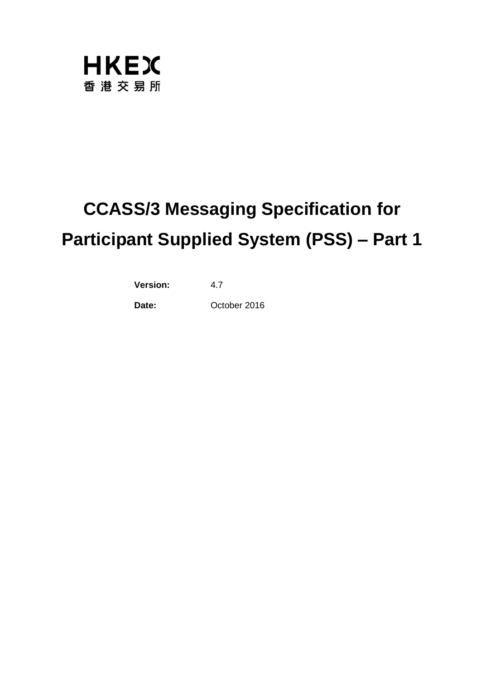

# **CCASS/3 Messaging Specification for Participant Supplied System (PSS) – Part 1**

**Version:** 4.7

**Date:** October 2016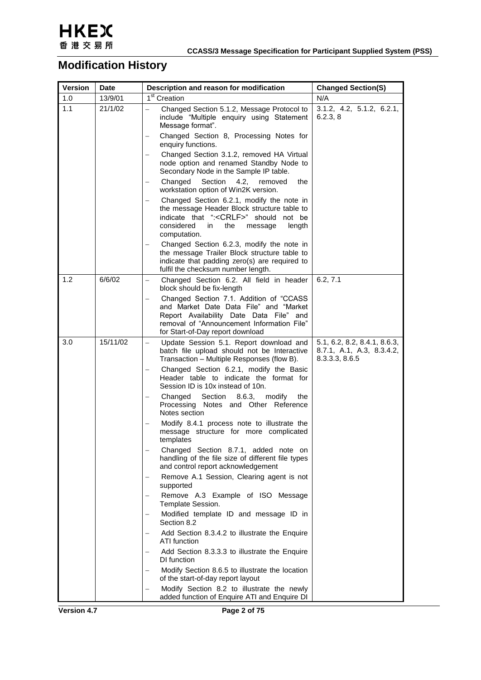

## **Modification History**

| <b>Version</b> | <b>Date</b> | Description and reason for modification                                                                                                                                                                         | <b>Changed Section(S)</b>                                                   |
|----------------|-------------|-----------------------------------------------------------------------------------------------------------------------------------------------------------------------------------------------------------------|-----------------------------------------------------------------------------|
| 1.0            | 13/9/01     | 1 <sup>st</sup> Creation                                                                                                                                                                                        | N/A                                                                         |
| 1.1            | 21/1/02     | Changed Section 5.1.2, Message Protocol to<br>include "Multiple enquiry using Statement<br>Message format".                                                                                                     | 3.1.2, 4.2, 5.1.2, 6.2.1,<br>6.2.3, 8                                       |
|                |             | Changed Section 8, Processing Notes for<br>enquiry functions.                                                                                                                                                   |                                                                             |
|                |             | Changed Section 3.1.2, removed HA Virtual<br>node option and renamed Standby Node to<br>Secondary Node in the Sample IP table.                                                                                  |                                                                             |
|                |             | Changed<br>Section<br>4.2,<br>removed<br>the<br>workstation option of Win2K version.                                                                                                                            |                                                                             |
|                |             | Changed Section 6.2.1, modify the note in<br>the message Header Block structure table to<br>indicate that ": <crlf>" should not be<br/>considered<br/>the<br/>in<br/>message<br/>length<br/>computation.</crlf> |                                                                             |
|                |             | Changed Section 6.2.3, modify the note in<br>the message Trailer Block structure table to<br>indicate that padding zero(s) are required to<br>fulfil the checksum number length.                                |                                                                             |
| 1.2            | 6/6/02      | Changed Section 6.2. All field in header<br>block should be fix-length                                                                                                                                          | 6.2, 7.1                                                                    |
|                |             | Changed Section 7.1. Addition of "CCASS"<br>and Market Date Data File" and "Market<br>Report Availability Date Data File" and<br>removal of "Announcement Information File"<br>for Start-of-Day report download |                                                                             |
| 3.0            | 15/11/02    | Update Session 5.1. Report download and<br>batch file upload should not be Interactive<br>Transaction - Multiple Responses (flow B).                                                                            | 5.1, 6.2, 8.2, 8.4.1, 8.6.3,<br>8.7.1, A.1, A.3, 8.3.4.2,<br>8.3.3.3, 8.6.5 |
|                |             | Changed Section 6.2.1, modify the Basic<br>Header table to indicate the format for<br>Session ID is 10x instead of 10n.                                                                                         |                                                                             |
|                |             | Section<br>Changed<br>8.6.3.<br>modify<br>the<br>Processing Notes and Other Reference<br>Notes section                                                                                                          |                                                                             |
|                |             | Modify 8.4.1 process note to illustrate the<br>message structure for more complicated<br>templates                                                                                                              |                                                                             |
|                |             | Changed Section 8.7.1, added note on<br>handling of the file size of different file types<br>and control report acknowledgement                                                                                 |                                                                             |
|                |             | Remove A.1 Session, Clearing agent is not<br>supported                                                                                                                                                          |                                                                             |
|                |             | Remove A.3 Example of ISO Message<br>Template Session.                                                                                                                                                          |                                                                             |
|                |             | Modified template ID and message ID in<br>Section 8.2                                                                                                                                                           |                                                                             |
|                |             | Add Section 8.3.4.2 to illustrate the Enquire<br>ATI function                                                                                                                                                   |                                                                             |
|                |             | Add Section 8.3.3.3 to illustrate the Enquire<br>DI function                                                                                                                                                    |                                                                             |
|                |             | Modify Section 8.6.5 to illustrate the location<br>of the start-of-day report layout                                                                                                                            |                                                                             |
|                |             | Modify Section 8.2 to illustrate the newly<br>added function of Enquire ATI and Enquire DI                                                                                                                      |                                                                             |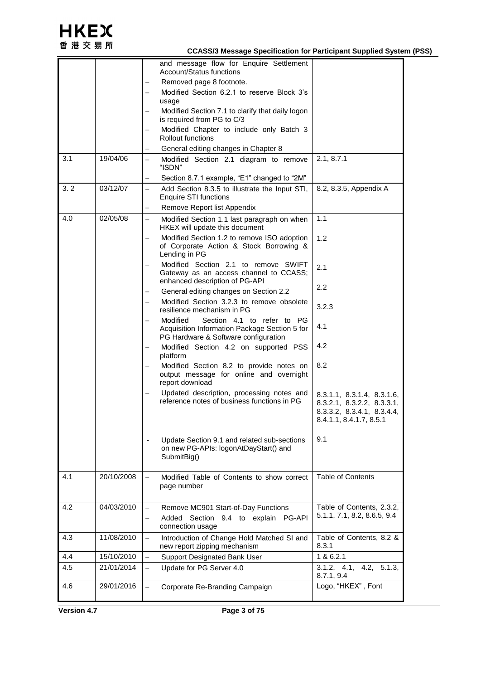

#### **CCASS/3 Message Specification for Participant Supplied System (PSS)**

|     |            |                          | and message flow for Enquire Settlement<br><b>Account/Status functions</b>                                                      |                                                                                                                   |
|-----|------------|--------------------------|---------------------------------------------------------------------------------------------------------------------------------|-------------------------------------------------------------------------------------------------------------------|
|     |            |                          | Removed page 8 footnote.                                                                                                        |                                                                                                                   |
|     |            |                          | Modified Section 6.2.1 to reserve Block 3's<br>usage                                                                            |                                                                                                                   |
|     |            |                          | Modified Section 7.1 to clarify that daily logon<br>is required from PG to C/3                                                  |                                                                                                                   |
|     |            |                          | Modified Chapter to include only Batch 3<br>Rollout functions                                                                   |                                                                                                                   |
|     |            |                          | General editing changes in Chapter 8                                                                                            |                                                                                                                   |
| 3.1 | 19/04/06   |                          | Modified Section 2.1 diagram to remove<br>"ISDN"                                                                                | 2.1, 8.7.1                                                                                                        |
|     |            |                          | Section 8.7.1 example, "E1" changed to "2M"                                                                                     |                                                                                                                   |
| 3.2 | 03/12/07   | $\equiv$                 | Add Section 8.3.5 to illustrate the Input STI,<br><b>Enquire STI functions</b>                                                  | 8.2, 8.3.5, Appendix A                                                                                            |
|     |            |                          | Remove Report list Appendix                                                                                                     |                                                                                                                   |
| 4.0 | 02/05/08   | $\equiv$                 | Modified Section 1.1 last paragraph on when<br>HKEX will update this document                                                   | 1.1                                                                                                               |
|     |            |                          | Modified Section 1.2 to remove ISO adoption<br>of Corporate Action & Stock Borrowing &<br>Lending in PG                         | 1.2                                                                                                               |
|     |            |                          | Modified Section 2.1 to remove SWIFT<br>Gateway as an access channel to CCASS;<br>enhanced description of PG-API                | 2.1                                                                                                               |
|     |            | $\overline{\phantom{0}}$ | General editing changes on Section 2.2                                                                                          | $2.2\phantom{0}$                                                                                                  |
|     |            | $\overline{\phantom{0}}$ | Modified Section 3.2.3 to remove obsolete<br>resilience mechanism in PG                                                         | 3.2.3                                                                                                             |
|     |            |                          | Modified<br>Section 4.1 to refer to PG<br>Acquisition Information Package Section 5 for<br>PG Hardware & Software configuration | 4.1                                                                                                               |
|     |            |                          | Modified Section 4.2 on supported PSS<br>platform                                                                               | 4.2                                                                                                               |
|     |            |                          | Modified Section 8.2 to provide notes on<br>output message for online and overnight<br>report download                          | 8.2                                                                                                               |
|     |            |                          | Updated description, processing notes and<br>reference notes of business functions in PG                                        | 8.3.1.1, 8.3.1.4, 8.3.1.6,<br>8.3.2.1, 8.3.2.2, 8.3.3.1,<br>8.3.3.2, 8.3.4.1, 8.3.4.4,<br>8.4.1.1, 8.4.1.7, 8.5.1 |
|     |            |                          | Update Section 9.1 and related sub-sections<br>on new PG-APIs: logonAtDayStart() and<br>SubmitBig()                             | 9.1                                                                                                               |
| 4.1 | 20/10/2008 |                          | Modified Table of Contents to show correct<br>page number                                                                       | <b>Table of Contents</b>                                                                                          |
| 4.2 | 04/03/2010 | $\qquad \qquad -$        | Remove MC901 Start-of-Day Functions                                                                                             | Table of Contents, 2.3.2,                                                                                         |
|     |            |                          | Added Section 9.4 to explain PG-API<br>connection usage                                                                         | 5.1.1, 7.1, 8.2, 8.6.5, 9.4                                                                                       |
| 4.3 | 11/08/2010 | $\overline{\phantom{0}}$ | Introduction of Change Hold Matched SI and<br>new report zipping mechanism                                                      | Table of Contents, 8.2 &<br>8.3.1                                                                                 |
| 4.4 | 15/10/2010 |                          | Support Designated Bank User                                                                                                    | 1 & 6.2.1                                                                                                         |
| 4.5 | 21/01/2014 | $\equiv$                 | Update for PG Server 4.0                                                                                                        | 3.1.2, 4.1, 4.2, 5.1.3,<br>8.7.1, 9.4                                                                             |
| 4.6 | 29/01/2016 |                          | Corporate Re-Branding Campaign                                                                                                  | Logo, "HKEX", Font                                                                                                |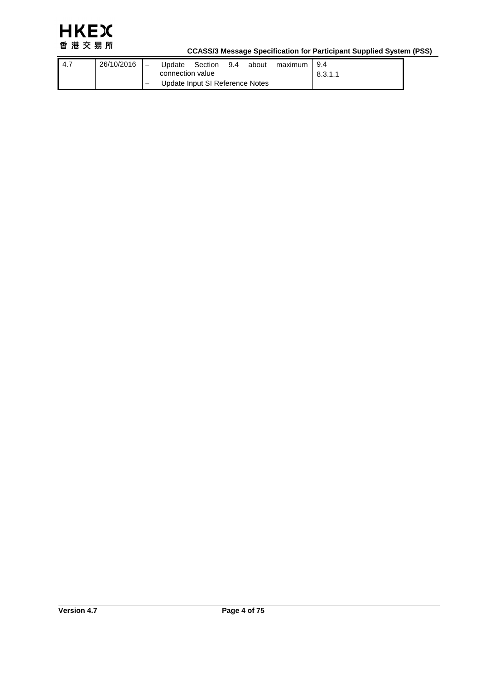

#### **CCASS/3 Message Specification for Participant Supplied System (PSS)**

| -4.7 | 26/10/2016 | Update           | Section                         | 9.4 | about | maximum | 9.4     |
|------|------------|------------------|---------------------------------|-----|-------|---------|---------|
|      |            | connection value |                                 |     |       |         | 8.3.1.1 |
|      |            |                  | Update Input SI Reference Notes |     |       |         |         |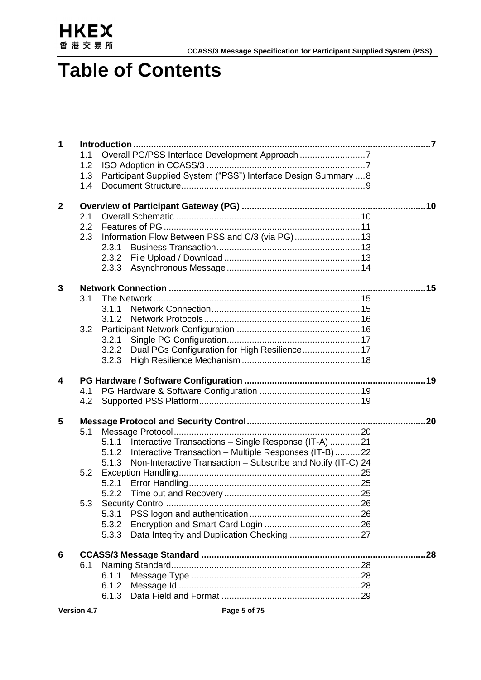

## **Table of Contents**

|              | 1.1 | Overall PG/PSS Interface Development Approach 7                       |     |
|--------------|-----|-----------------------------------------------------------------------|-----|
|              | 1.2 |                                                                       |     |
|              | 1.3 | Participant Supplied System ("PSS") Interface Design Summary  8       |     |
|              | 1.4 |                                                                       |     |
|              |     |                                                                       |     |
| $\mathbf{2}$ |     |                                                                       |     |
|              | 2.1 |                                                                       |     |
|              | 2.2 |                                                                       |     |
|              | 2.3 |                                                                       |     |
|              |     | 2.3.1                                                                 |     |
|              |     | 2.3.2                                                                 |     |
|              |     | 2.3.3                                                                 |     |
| 3            |     |                                                                       |     |
|              | 3.1 |                                                                       |     |
|              |     | 3.1.1                                                                 |     |
|              |     | 3.1.2                                                                 |     |
|              | 3.2 |                                                                       |     |
|              |     | 3.2.1                                                                 |     |
|              |     | Dual PGs Configuration for High Resilience 17<br>3.2.2                |     |
|              |     | 3.2.3                                                                 |     |
|              |     |                                                                       |     |
| 4            |     |                                                                       |     |
|              |     |                                                                       |     |
|              | 4.1 |                                                                       |     |
|              | 4.2 |                                                                       |     |
|              |     |                                                                       |     |
| 5            |     |                                                                       | .20 |
|              | 5.1 |                                                                       |     |
|              |     | Interactive Transactions - Single Response (IT-A) 21<br>5.1.1         |     |
|              |     | Interactive Transaction - Multiple Responses (IT-B)22<br>5.1.2        |     |
|              |     | Non-Interactive Transaction - Subscribe and Notify (IT-C) 24<br>5.1.3 |     |
|              | 5.2 |                                                                       |     |
|              |     | 5.2.1                                                                 |     |
|              |     | 5.2.2                                                                 |     |
|              | 5.3 |                                                                       |     |
|              |     | 5.3.1                                                                 |     |
|              |     | 5.3.2                                                                 |     |
|              |     | 5.3.3                                                                 |     |
| 6            |     |                                                                       | .28 |
|              | 6.1 |                                                                       |     |
|              |     | 6.1.1                                                                 |     |
|              |     | 6.1.2<br>6.1.3                                                        |     |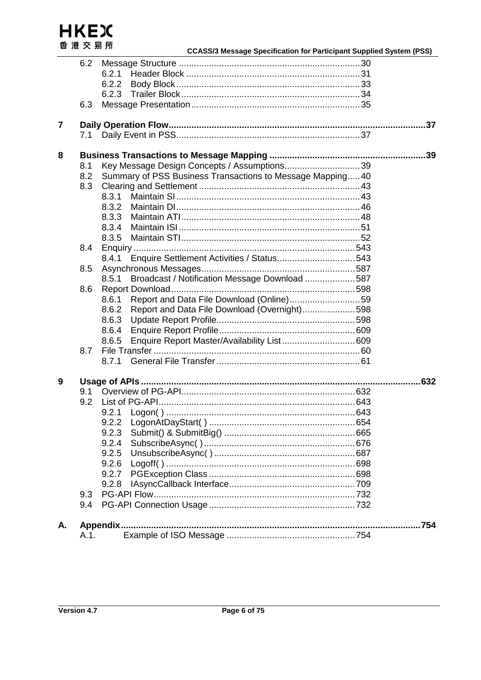HKEX 港交易所 香

|                |      |                                                           | <b>CCASS/3 Message Specification for Participant Supplied System (PSS)</b> |
|----------------|------|-----------------------------------------------------------|----------------------------------------------------------------------------|
|                | 6.2  |                                                           |                                                                            |
|                |      | 6.2.1                                                     |                                                                            |
|                |      | 6.2.2                                                     |                                                                            |
|                |      | 6.2.3                                                     |                                                                            |
|                | 6.3  |                                                           |                                                                            |
|                |      |                                                           |                                                                            |
| $\overline{7}$ |      |                                                           |                                                                            |
|                | 7.1  |                                                           |                                                                            |
|                |      |                                                           |                                                                            |
| 8              |      |                                                           |                                                                            |
|                | 8.1  | Key Message Design Concepts / Assumptions39               |                                                                            |
|                | 8.2  | Summary of PSS Business Transactions to Message Mapping40 |                                                                            |
|                | 8.3  |                                                           |                                                                            |
|                |      | 8.3.1                                                     |                                                                            |
|                |      | 8.3.2                                                     |                                                                            |
|                |      | 8.3.3                                                     |                                                                            |
|                |      | 8.3.4                                                     |                                                                            |
|                |      | 8.3.5                                                     |                                                                            |
|                | 8.4  |                                                           |                                                                            |
|                |      | 8.4.1                                                     |                                                                            |
|                | 8.5  |                                                           |                                                                            |
|                |      | Broadcast / Notification Message Download 587<br>8.5.1    |                                                                            |
|                | 8.6  |                                                           |                                                                            |
|                |      | Report and Data File Download (Online)59<br>8.6.1         |                                                                            |
|                |      | Report and Data File Download (Overnight)598<br>8.6.2     |                                                                            |
|                |      | 8.6.3                                                     |                                                                            |
|                |      | 8.6.4                                                     |                                                                            |
|                |      | Enquire Report Master/Availability List 609<br>8.6.5      |                                                                            |
|                | 8.7  |                                                           |                                                                            |
|                |      | 8.7.1                                                     |                                                                            |
|                |      |                                                           |                                                                            |
| 9              |      |                                                           |                                                                            |
|                | 9.1  |                                                           |                                                                            |
|                | 9.2  |                                                           |                                                                            |
|                |      |                                                           |                                                                            |
|                |      | 9.2.2                                                     |                                                                            |
|                |      | 9.2.3                                                     |                                                                            |
|                |      | 9.2.4                                                     |                                                                            |
|                |      | 9.2.5                                                     |                                                                            |
|                |      | 9.2.6                                                     |                                                                            |
|                |      | 9.2.7                                                     |                                                                            |
|                |      | 9.2.8                                                     |                                                                            |
|                | 9.3  |                                                           |                                                                            |
|                | 9.4  |                                                           |                                                                            |
|                |      |                                                           |                                                                            |
| А.             |      |                                                           |                                                                            |
|                | A.1. |                                                           |                                                                            |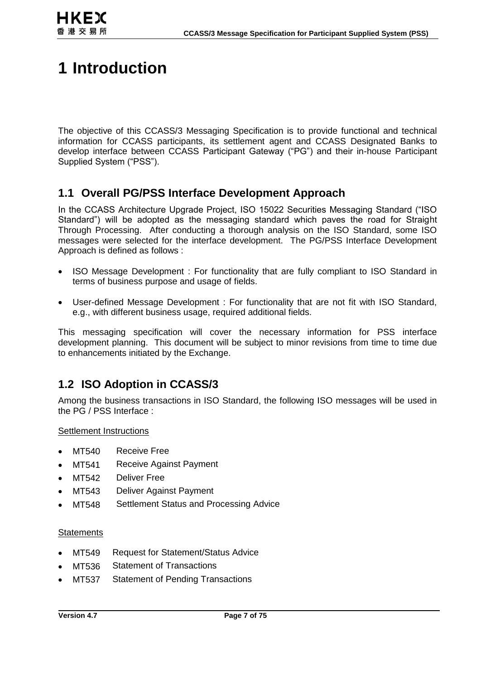

## **1 Introduction**

The objective of this CCASS/3 Messaging Specification is to provide functional and technical information for CCASS participants, its settlement agent and CCASS Designated Banks to develop interface between CCASS Participant Gateway ("PG") and their in-house Participant Supplied System ("PSS").

### **1.1 Overall PG/PSS Interface Development Approach**

In the CCASS Architecture Upgrade Project, ISO 15022 Securities Messaging Standard ("ISO Standard") will be adopted as the messaging standard which paves the road for Straight Through Processing. After conducting a thorough analysis on the ISO Standard, some ISO messages were selected for the interface development. The PG/PSS Interface Development Approach is defined as follows :

- ISO Message Development : For functionality that are fully compliant to ISO Standard in terms of business purpose and usage of fields.
- User-defined Message Development : For functionality that are not fit with ISO Standard, e.g., with different business usage, required additional fields.

This messaging specification will cover the necessary information for PSS interface development planning. This document will be subject to minor revisions from time to time due to enhancements initiated by the Exchange.

## **1.2 ISO Adoption in CCASS/3**

Among the business transactions in ISO Standard, the following ISO messages will be used in the PG / PSS Interface :

Settlement Instructions

- MT540 Receive Free
- MT541 Receive Against Payment
- MT542 Deliver Free
- MT543 Deliver Against Payment
- MT548 Settlement Status and Processing Advice

#### **Statements**

- MT549 Request for Statement/Status Advice
- MT536 Statement of Transactions
- MT537 Statement of Pending Transactions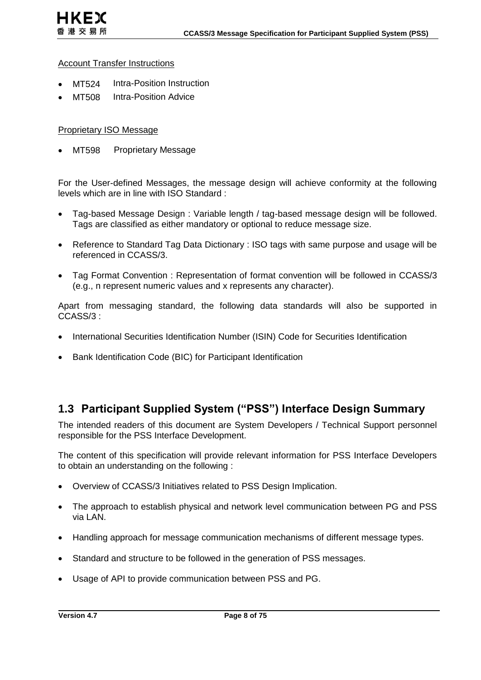#### **Account Transfer Instructions**

- MT524 Intra-Position Instruction
- MT508 Intra-Position Advice

#### Proprietary ISO Message

MT598 Proprietary Message

For the User-defined Messages, the message design will achieve conformity at the following levels which are in line with ISO Standard :

- Tag-based Message Design : Variable length / tag-based message design will be followed. Tags are classified as either mandatory or optional to reduce message size.
- Reference to Standard Tag Data Dictionary : ISO tags with same purpose and usage will be referenced in CCASS/3.
- Tag Format Convention : Representation of format convention will be followed in CCASS/3 (e.g., n represent numeric values and x represents any character).

Apart from messaging standard, the following data standards will also be supported in CCASS/3 :

- International Securities Identification Number (ISIN) Code for Securities Identification
- Bank Identification Code (BIC) for Participant Identification

### **1.3 Participant Supplied System ("PSS") Interface Design Summary**

The intended readers of this document are System Developers / Technical Support personnel responsible for the PSS Interface Development.

The content of this specification will provide relevant information for PSS Interface Developers to obtain an understanding on the following :

- Overview of CCASS/3 Initiatives related to PSS Design Implication.
- The approach to establish physical and network level communication between PG and PSS via LAN.
- Handling approach for message communication mechanisms of different message types.
- Standard and structure to be followed in the generation of PSS messages.
- Usage of API to provide communication between PSS and PG.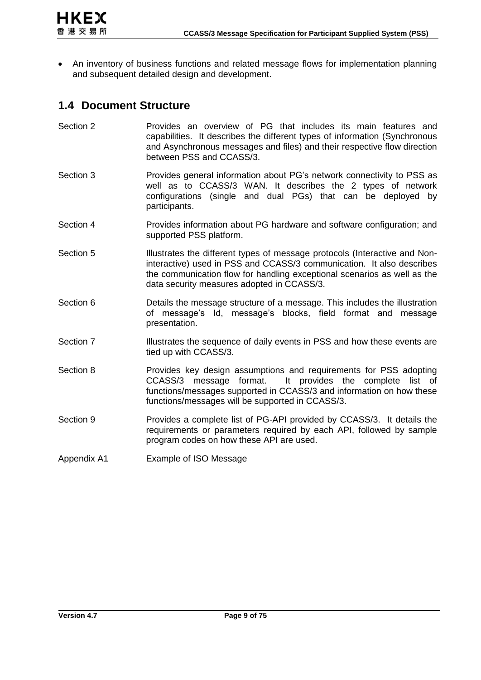

 An inventory of business functions and related message flows for implementation planning and subsequent detailed design and development.

### **1.4 Document Structure**

| Section 2 | Provides an overview of PG that includes its main features and<br>capabilities. It describes the different types of information (Synchronous<br>and Asynchronous messages and files) and their respective flow direction<br>between PSS and CCASS/3.                          |
|-----------|-------------------------------------------------------------------------------------------------------------------------------------------------------------------------------------------------------------------------------------------------------------------------------|
| Section 3 | Provides general information about PG's network connectivity to PSS as<br>well as to CCASS/3 WAN. It describes the 2 types of network<br>configurations (single and dual PGs) that can be deployed by<br>participants.                                                        |
| Section 4 | Provides information about PG hardware and software configuration; and<br>supported PSS platform.                                                                                                                                                                             |
| Section 5 | Illustrates the different types of message protocols (Interactive and Non-<br>interactive) used in PSS and CCASS/3 communication. It also describes<br>the communication flow for handling exceptional scenarios as well as the<br>data security measures adopted in CCASS/3. |
| Section 6 | Details the message structure of a message. This includes the illustration<br>of message's Id, message's blocks, field format and message<br>presentation.                                                                                                                    |
| Section 7 | Illustrates the sequence of daily events in PSS and how these events are<br>tied up with CCASS/3.                                                                                                                                                                             |
| Section 8 | Provides key design assumptions and requirements for PSS adopting<br>CCASS/3 message format. It provides the complete list of<br>functions/messages supported in CCASS/3 and information on how these<br>functions/messages will be supported in CCASS/3.                     |
|           |                                                                                                                                                                                                                                                                               |
| Section 9 | Provides a complete list of PG-API provided by CCASS/3. It details the<br>requirements or parameters required by each API, followed by sample<br>program codes on how these API are used.                                                                                     |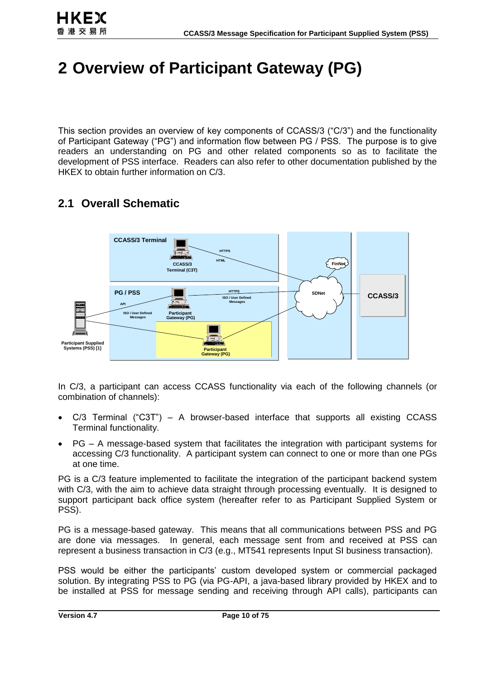## **2 Overview of Participant Gateway (PG)**

This section provides an overview of key components of CCASS/3 ("C/3") and the functionality of Participant Gateway ("PG") and information flow between PG / PSS. The purpose is to give readers an understanding on PG and other related components so as to facilitate the development of PSS interface. Readers can also refer to other documentation published by the HKEX to obtain further information on C/3.

## **2.1 Overall Schematic**



In C/3, a participant can access CCASS functionality via each of the following channels (or combination of channels):

- C/3 Terminal ("C3T") A browser-based interface that supports all existing CCASS Terminal functionality.
- PG A message-based system that facilitates the integration with participant systems for accessing C/3 functionality. A participant system can connect to one or more than one PGs at one time.

PG is a C/3 feature implemented to facilitate the integration of the participant backend system with C/3, with the aim to achieve data straight through processing eventually. It is designed to support participant back office system (hereafter refer to as Participant Supplied System or PSS).

PG is a message-based gateway. This means that all communications between PSS and PG are done via messages. In general, each message sent from and received at PSS can represent a business transaction in C/3 (e.g., MT541 represents Input SI business transaction).

PSS would be either the participants' custom developed system or commercial packaged solution. By integrating PSS to PG (via PG-API, a java-based library provided by HKEX and to be installed at PSS for message sending and receiving through API calls), participants can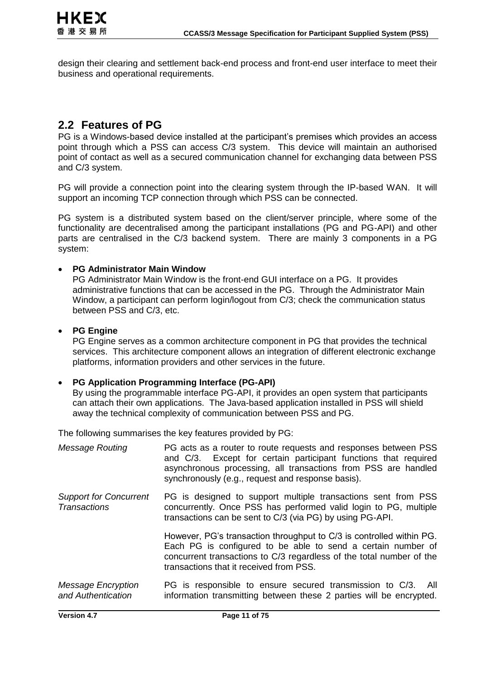design their clearing and settlement back-end process and front-end user interface to meet their business and operational requirements.

### **2.2 Features of PG**

PG is a Windows-based device installed at the participant's premises which provides an access point through which a PSS can access C/3 system. This device will maintain an authorised point of contact as well as a secured communication channel for exchanging data between PSS and C/3 system.

PG will provide a connection point into the clearing system through the IP-based WAN. It will support an incoming TCP connection through which PSS can be connected.

PG system is a distributed system based on the client/server principle, where some of the functionality are decentralised among the participant installations (PG and PG-API) and other parts are centralised in the C/3 backend system. There are mainly 3 components in a PG system:

#### **PG Administrator Main Window**

PG Administrator Main Window is the front-end GUI interface on a PG. It provides administrative functions that can be accessed in the PG. Through the Administrator Main Window, a participant can perform login/logout from C/3; check the communication status between PSS and C/3, etc.

#### **PG Engine**

PG Engine serves as a common architecture component in PG that provides the technical services. This architecture component allows an integration of different electronic exchange platforms, information providers and other services in the future.

#### **PG Application Programming Interface (PG-API)**

By using the programmable interface PG-API, it provides an open system that participants can attach their own applications. The Java-based application installed in PSS will shield away the technical complexity of communication between PSS and PG.

The following summarises the key features provided by PG:

| <b>Message Routing</b>                               | PG acts as a router to route requests and responses between PSS<br>and C/3. Except for certain participant functions that required<br>asynchronous processing, all transactions from PSS are handled<br>synchronously (e.g., request and response basis). |
|------------------------------------------------------|-----------------------------------------------------------------------------------------------------------------------------------------------------------------------------------------------------------------------------------------------------------|
| <b>Support for Concurrent</b><br><b>Transactions</b> | PG is designed to support multiple transactions sent from PSS<br>concurrently. Once PSS has performed valid login to PG, multiple<br>transactions can be sent to C/3 (via PG) by using PG-API.                                                            |
|                                                      | However, PG's transaction throughput to C/3 is controlled within PG.<br>Each PG is configured to be able to send a certain number of<br>concurrent transactions to C/3 regardless of the total number of the<br>transactions that it received from PSS.   |
| <b>Message Encryption</b><br>and Authentication      | PG is responsible to ensure secured transmission to C/3. All<br>information transmitting between these 2 parties will be encrypted.                                                                                                                       |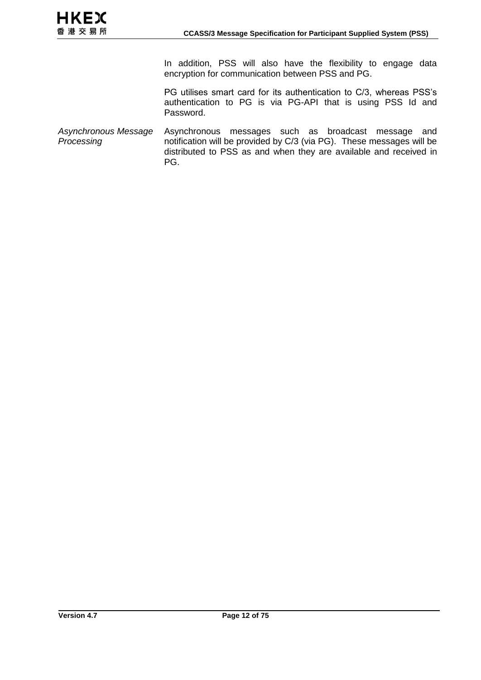In addition, PSS will also have the flexibility to engage data encryption for communication between PSS and PG.

PG utilises smart card for its authentication to C/3, whereas PSS's authentication to PG is via PG-API that is using PSS Id and Password.

*Asynchronous Message Processing* Asynchronous messages such as broadcast message and notification will be provided by C/3 (via PG). These messages will be distributed to PSS as and when they are available and received in PG.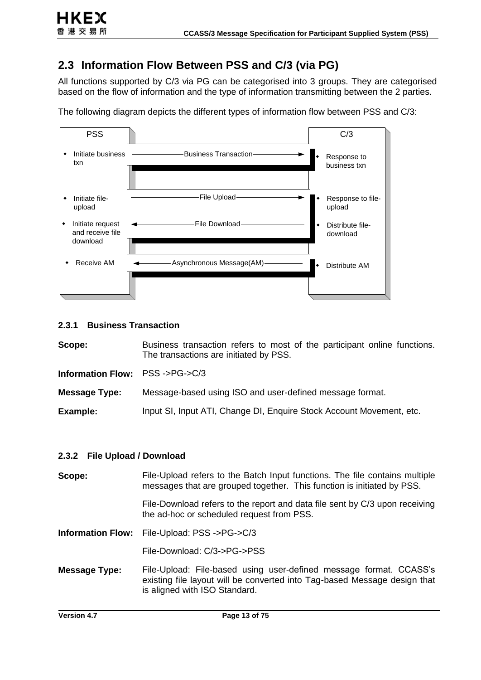## <span id="page-12-0"></span>**2.3 Information Flow Between PSS and C/3 (via PG)**

All functions supported by C/3 via PG can be categorised into 3 groups. They are categorised based on the flow of information and the type of information transmitting between the 2 parties.



The following diagram depicts the different types of information flow between PSS and C/3:

#### **2.3.1 Business Transaction**

**Scope:** Business transaction refers to most of the participant online functions. The transactions are initiated by PSS.

**Information Flow:** PSS ->PG->C/3

**Message Type:** Message-based using ISO and user-defined message format.

**Example:** Input SI, Input ATI, Change DI, Enquire Stock Account Movement, etc.

#### **2.3.2 File Upload / Download**

| Scope:                   | File-Upload refers to the Batch Input functions. The file contains multiple<br>messages that are grouped together. This function is initiated by PSS.                            |
|--------------------------|----------------------------------------------------------------------------------------------------------------------------------------------------------------------------------|
|                          | File-Download refers to the report and data file sent by C/3 upon receiving<br>the ad-hoc or scheduled request from PSS.                                                         |
| <b>Information Flow:</b> | File-Upload: PSS ->PG->C/3                                                                                                                                                       |
|                          | File-Download: C/3->PG->PSS                                                                                                                                                      |
| <b>Message Type:</b>     | File-Upload: File-based using user-defined message format. CCASS's<br>existing file layout will be converted into Tag-based Message design that<br>is aligned with ISO Standard. |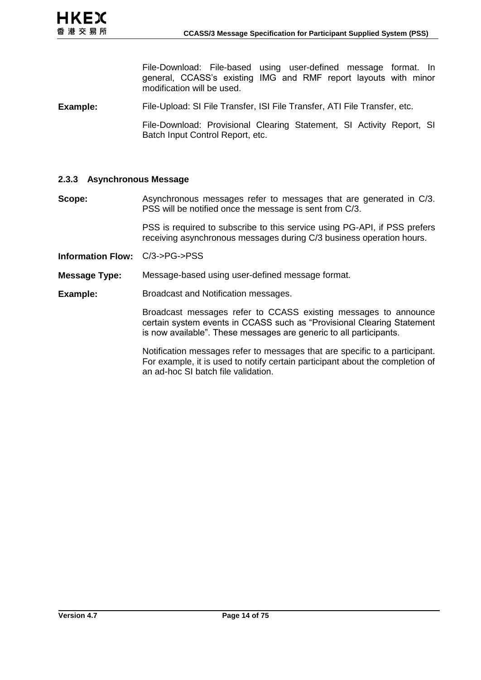File-Download: File-based using user-defined message format. In general, CCASS's existing IMG and RMF report layouts with minor modification will be used.

**Example:** File-Upload: SI File Transfer, ISI File Transfer, ATI File Transfer, etc.

File-Download: Provisional Clearing Statement, SI Activity Report, SI Batch Input Control Report, etc.

#### **2.3.3 Asynchronous Message**

**Scope:** Asynchronous messages refer to messages that are generated in C/3. PSS will be notified once the message is sent from C/3.

> PSS is required to subscribe to this service using PG-API, if PSS prefers receiving asynchronous messages during C/3 business operation hours.

**Information Flow:** C/3->PG->PSS

**Message Type:** Message-based using user-defined message format.

**Example:** Broadcast and Notification messages.

Broadcast messages refer to CCASS existing messages to announce certain system events in CCASS such as "Provisional Clearing Statement is now available". These messages are generic to all participants.

Notification messages refer to messages that are specific to a participant. For example, it is used to notify certain participant about the completion of an ad-hoc SI batch file validation.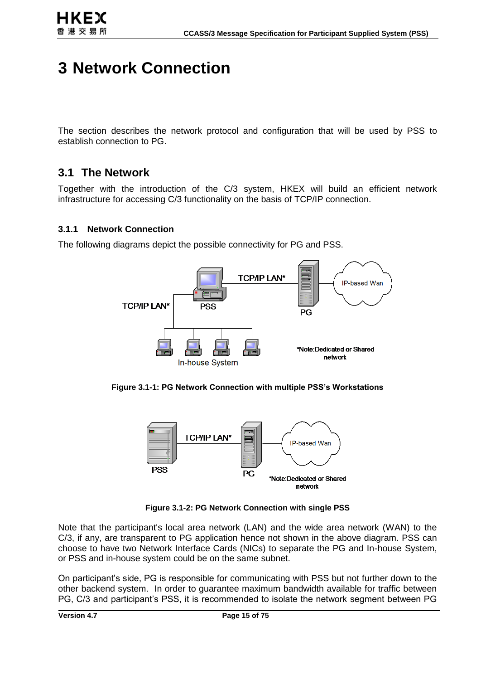## **3 Network Connection**

The section describes the network protocol and configuration that will be used by PSS to establish connection to PG.

## <span id="page-14-0"></span>**3.1 The Network**

Together with the introduction of the C/3 system, HKEX will build an efficient network infrastructure for accessing C/3 functionality on the basis of TCP/IP connection.

#### **3.1.1 Network Connection**

The following diagrams depict the possible connectivity for PG and PSS.



**Figure [3.1-](#page-14-0)1: PG Network Connection with multiple PSS's Workstations**



**Figure [3.1-](#page-14-0)2: PG Network Connection with single PSS**

Note that the participant's local area network (LAN) and the wide area network (WAN) to the C/3, if any, are transparent to PG application hence not shown in the above diagram. PSS can choose to have two Network Interface Cards (NICs) to separate the PG and In-house System, or PSS and in-house system could be on the same subnet.

On participant's side, PG is responsible for communicating with PSS but not further down to the other backend system. In order to guarantee maximum bandwidth available for traffic between PG, C/3 and participant's PSS, it is recommended to isolate the network segment between PG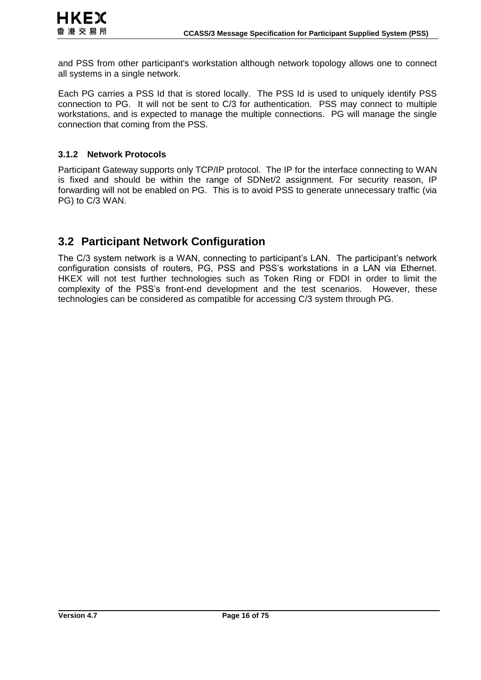and PSS from other participant's workstation although network topology allows one to connect all systems in a single network.

Each PG carries a PSS Id that is stored locally. The PSS Id is used to uniquely identify PSS connection to PG. It will not be sent to C/3 for authentication. PSS may connect to multiple workstations, and is expected to manage the multiple connections. PG will manage the single connection that coming from the PSS.

#### **3.1.2 Network Protocols**

Participant Gateway supports only TCP/IP protocol. The IP for the interface connecting to WAN is fixed and should be within the range of SDNet/2 assignment. For security reason, IP forwarding will not be enabled on PG. This is to avoid PSS to generate unnecessary traffic (via PG) to C/3 WAN.

## <span id="page-15-0"></span>**3.2 Participant Network Configuration**

The C/3 system network is a WAN, connecting to participant's LAN. The participant's network configuration consists of routers, PG, PSS and PSS's workstations in a LAN via Ethernet. HKEX will not test further technologies such as Token Ring or FDDI in order to limit the complexity of the PSS's front-end development and the test scenarios. However, these technologies can be considered as compatible for accessing C/3 system through PG.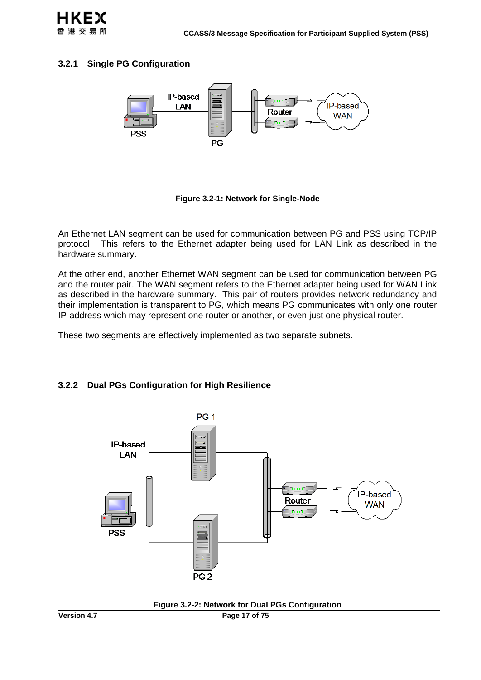#### **3.2.1 Single PG Configuration**



**Figure [3.2-](#page-15-0)1: Network for Single-Node**

An Ethernet LAN segment can be used for communication between PG and PSS using TCP/IP protocol. This refers to the Ethernet adapter being used for LAN Link as described in the hardware summary.

At the other end, another Ethernet WAN segment can be used for communication between PG and the router pair. The WAN segment refers to the Ethernet adapter being used for WAN Link as described in the hardware summary. This pair of routers provides network redundancy and their implementation is transparent to PG, which means PG communicates with only one router IP-address which may represent one router or another, or even just one physical router.

These two segments are effectively implemented as two separate subnets.

#### **3.2.2 Dual PGs Configuration for High Resilience**



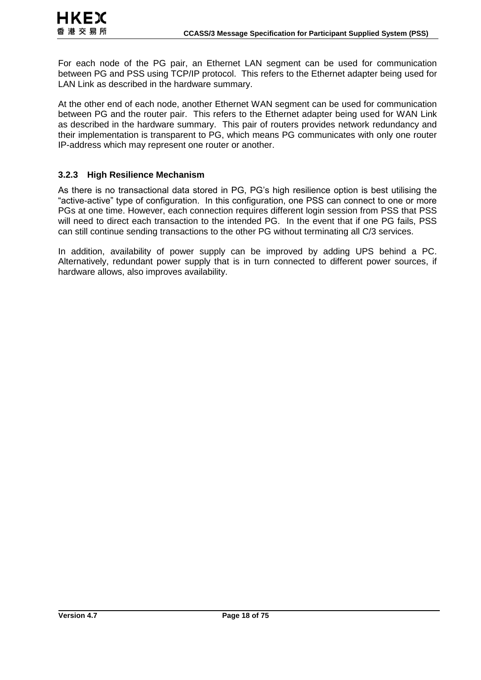For each node of the PG pair, an Ethernet LAN segment can be used for communication between PG and PSS using TCP/IP protocol. This refers to the Ethernet adapter being used for LAN Link as described in the hardware summary.

At the other end of each node, another Ethernet WAN segment can be used for communication between PG and the router pair. This refers to the Ethernet adapter being used for WAN Link as described in the hardware summary. This pair of routers provides network redundancy and their implementation is transparent to PG, which means PG communicates with only one router IP-address which may represent one router or another.

#### **3.2.3 High Resilience Mechanism**

As there is no transactional data stored in PG, PG's high resilience option is best utilising the "active-active" type of configuration. In this configuration, one PSS can connect to one or more PGs at one time. However, each connection requires different login session from PSS that PSS will need to direct each transaction to the intended PG. In the event that if one PG fails, PSS can still continue sending transactions to the other PG without terminating all C/3 services.

In addition, availability of power supply can be improved by adding UPS behind a PC. Alternatively, redundant power supply that is in turn connected to different power sources, if hardware allows, also improves availability.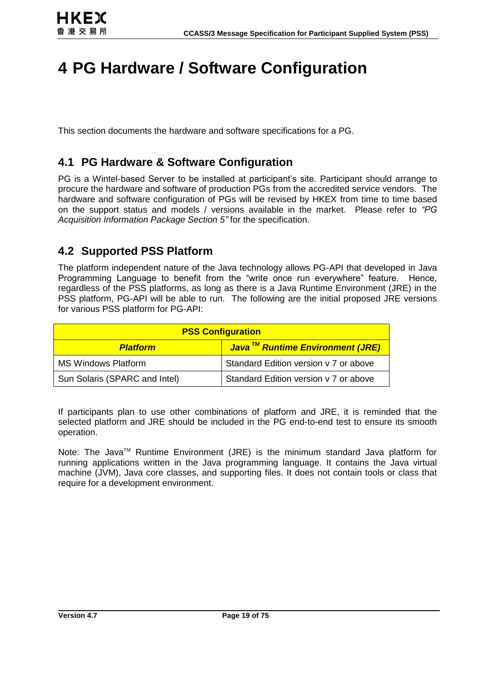## **4 PG Hardware / Software Configuration**

This section documents the hardware and software specifications for a PG.

## **4.1 PG Hardware & Software Configuration**

PG is a Wintel-based Server to be installed at participant's site. Participant should arrange to procure the hardware and software of production PGs from the accredited service vendors. The hardware and software configuration of PGs will be revised by HKEX from time to time based on the support status and models / versions available in the market. Please refer to *"PG Acquisition Information Package Section 5"* for the specification.

## **4.2 Supported PSS Platform**

The platform independent nature of the Java technology allows PG-API that developed in Java Programming Language to benefit from the "write once run everywhere" feature. Hence, regardless of the PSS platforms, as long as there is a Java Runtime Environment (JRE) in the PSS platform, PG-API will be able to run. The following are the initial proposed JRE versions for various PSS platform for PG-API:

| <b>PSS Configuration</b>      |                                                         |  |
|-------------------------------|---------------------------------------------------------|--|
| <b>Platform</b>               | <mark>Java<sup>™</sup> Runtime Environment (JRE)</mark> |  |
| <b>MS Windows Platform</b>    | Standard Edition version v 7 or above                   |  |
| Sun Solaris (SPARC and Intel) | Standard Edition version v 7 or above                   |  |

If participants plan to use other combinations of platform and JRE, it is reminded that the selected platform and JRE should be included in the PG end-to-end test to ensure its smooth operation.

Note: The Java<sup>™</sup> Runtime Environment (JRE) is the minimum standard Java platform for running applications written in the Java programming language. It contains the Java virtual machine (JVM), Java core classes, and supporting files. It does not contain tools or class that require for a development environment.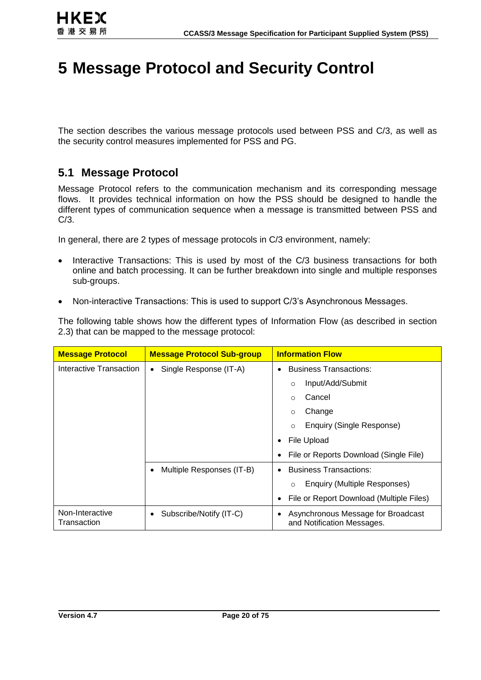## **5 Message Protocol and Security Control**

The section describes the various message protocols used between PSS and C/3, as well as the security control measures implemented for PSS and PG.

## **5.1 Message Protocol**

Message Protocol refers to the communication mechanism and its corresponding message flows. It provides technical information on how the PSS should be designed to handle the different types of communication sequence when a message is transmitted between PSS and C/3.

In general, there are 2 types of message protocols in C/3 environment, namely:

- Interactive Transactions: This is used by most of the C/3 business transactions for both online and batch processing. It can be further breakdown into single and multiple responses sub-groups.
- Non-interactive Transactions: This is used to support C/3's Asynchronous Messages.

The following table shows how the different types of Information Flow (as described in section [2.3\)](#page-12-0) that can be mapped to the message protocol:

| <b>Message Protocol</b>        | <b>Message Protocol Sub-group</b>   | <b>Information Flow</b>                                               |  |  |
|--------------------------------|-------------------------------------|-----------------------------------------------------------------------|--|--|
| Interactive Transaction        | Single Response (IT-A)<br>$\bullet$ | <b>Business Transactions:</b><br>$\bullet$                            |  |  |
|                                |                                     | Input/Add/Submit<br>$\circ$                                           |  |  |
|                                |                                     | Cancel<br>$\Omega$                                                    |  |  |
|                                |                                     | Change<br>$\Omega$                                                    |  |  |
|                                |                                     | Enquiry (Single Response)<br>$\circ$                                  |  |  |
|                                |                                     | File Upload<br>٠                                                      |  |  |
|                                |                                     | File or Reports Download (Single File)                                |  |  |
|                                | Multiple Responses (IT-B)           | <b>Business Transactions:</b><br>$\bullet$                            |  |  |
|                                |                                     | Enquiry (Multiple Responses)<br>$\circ$                               |  |  |
|                                |                                     | File or Report Download (Multiple Files)<br>٠                         |  |  |
| Non-Interactive<br>Transaction | Subscribe/Notify (IT-C)             | Asynchronous Message for Broadcast<br>٠<br>and Notification Messages. |  |  |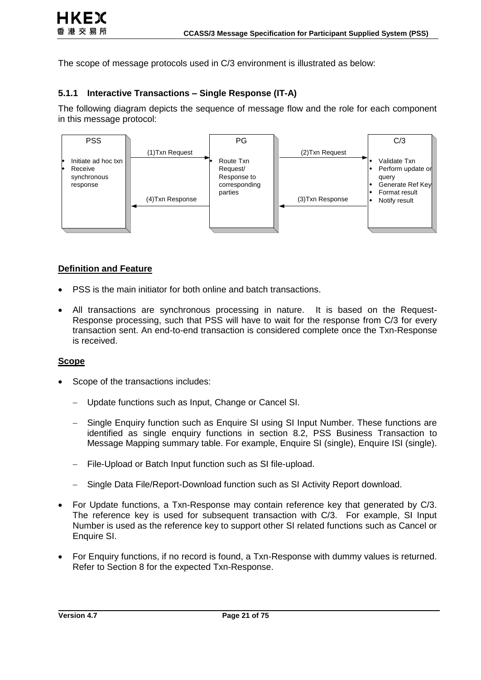The scope of message protocols used in C/3 environment is illustrated as below:

#### **5.1.1 Interactive Transactions – Single Response (IT-A)**

The following diagram depicts the sequence of message flow and the role for each component in this message protocol:



#### **Definition and Feature**

- PSS is the main initiator for both online and batch transactions.
- All transactions are synchronous processing in nature. It is based on the Request-Response processing, such that PSS will have to wait for the response from C/3 for every transaction sent. An end-to-end transaction is considered complete once the Txn-Response is received.

#### **Scope**

- Scope of the transactions includes:
	- Update functions such as Input, Change or Cancel SI.
	- Single Enquiry function such as Enquire SI using SI Input Number. These functions are identified as single enquiry functions in section [8.2,](#page-39-0) PSS Business Transaction to Message Mapping summary table. For example, Enquire SI (single), Enquire ISI (single).
	- File-Upload or Batch Input function such as SI file-upload.
	- Single Data File/Report-Download function such as SI Activity Report download.
- For Update functions, a Txn-Response may contain reference key that generated by C/3. The reference key is used for subsequent transaction with C/3. For example, SI Input Number is used as the reference key to support other SI related functions such as Cancel or Enquire SI.
- For Enquiry functions, if no record is found, a Txn-Response with dummy values is returned. Refer to Section [8](#page-38-0) for the expected Txn-Response.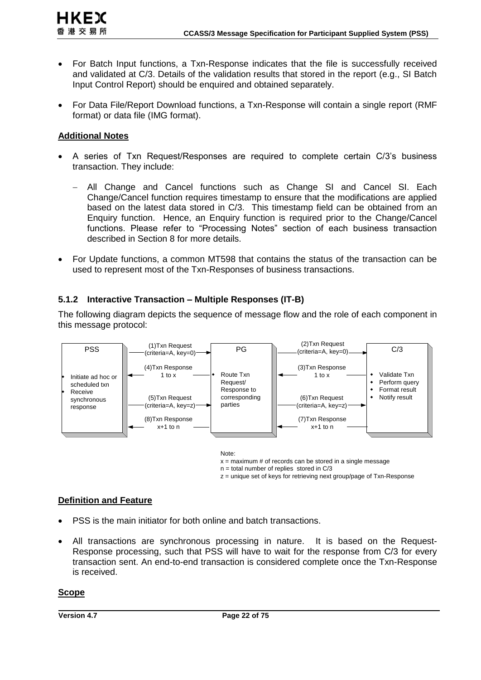- For Batch Input functions, a Txn-Response indicates that the file is successfully received and validated at C/3. Details of the validation results that stored in the report (e.g., SI Batch Input Control Report) should be enquired and obtained separately.
- For Data File/Report Download functions, a Txn-Response will contain a single report (RMF format) or data file (IMG format).

#### **Additional Notes**

- A series of Txn Request/Responses are required to complete certain C/3's business transaction. They include:
	- All Change and Cancel functions such as Change SI and Cancel SI. Each Change/Cancel function requires timestamp to ensure that the modifications are applied based on the latest data stored in C/3. This timestamp field can be obtained from an Enquiry function. Hence, an Enquiry function is required prior to the Change/Cancel functions. Please refer to "Processing Notes" section of each business transaction described in Section [8](#page-38-0) for more details.
- For Update functions, a common MT598 that contains the status of the transaction can be used to represent most of the Txn-Responses of business transactions.

#### **5.1.2 Interactive Transaction – Multiple Responses (IT-B)**

The following diagram depicts the sequence of message flow and the role of each component in this message protocol:



Note:

 $x =$  maximum # of records can be stored in a single message

n = total number of replies stored in C/3

z = unique set of keys for retrieving next group/page of Txn-Response

#### **Definition and Feature**

- PSS is the main initiator for both online and batch transactions.
- All transactions are synchronous processing in nature. It is based on the Request-Response processing, such that PSS will have to wait for the response from C/3 for every transaction sent. An end-to-end transaction is considered complete once the Txn-Response is received.

#### **Scope**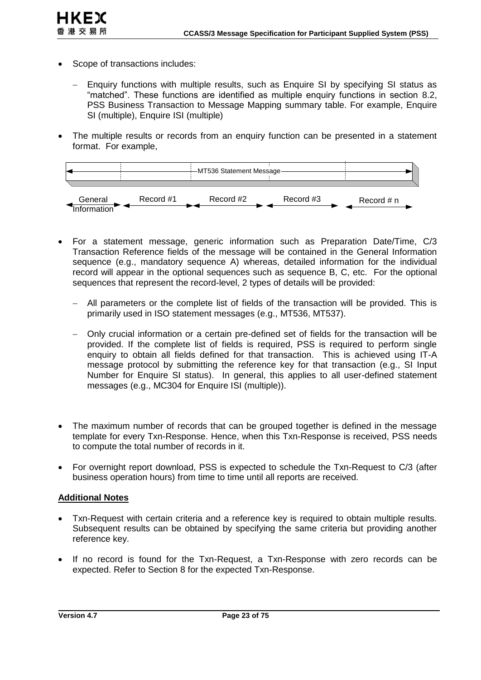

HKEX 香港交易所

- Enquiry functions with multiple results, such as Enquire SI by specifying SI status as "matched". These functions are identified as multiple enquiry functions in section [8.2,](#page-39-0) PSS Business Transaction to Message Mapping summary table. For example, Enquire SI (multiple), Enquire ISI (multiple)
- The multiple results or records from an enquiry function can be presented in a statement format. For example,



- For a statement message, generic information such as Preparation Date/Time, C/3 Transaction Reference fields of the message will be contained in the General Information sequence (e.g., mandatory sequence A) whereas, detailed information for the individual record will appear in the optional sequences such as sequence B, C, etc. For the optional sequences that represent the record-level, 2 types of details will be provided:
	- All parameters or the complete list of fields of the transaction will be provided. This is primarily used in ISO statement messages (e.g., MT536, MT537).
	- Only crucial information or a certain pre-defined set of fields for the transaction will be provided. If the complete list of fields is required, PSS is required to perform single enquiry to obtain all fields defined for that transaction. This is achieved using IT-A message protocol by submitting the reference key for that transaction (e.g., SI Input Number for Enquire SI status). In general, this applies to all user-defined statement messages (e.g., MC304 for Enquire ISI (multiple)).
- The maximum number of records that can be grouped together is defined in the message template for every Txn-Response. Hence, when this Txn-Response is received, PSS needs to compute the total number of records in it.
- For overnight report download, PSS is expected to schedule the Txn-Request to C/3 (after business operation hours) from time to time until all reports are received.

#### **Additional Notes**

- Txn-Request with certain criteria and a reference key is required to obtain multiple results. Subsequent results can be obtained by specifying the same criteria but providing another reference key.
- If no record is found for the Txn-Request, a Txn-Response with zero records can be expected. Refer to Section [8](#page-38-0) for the expected Txn-Response.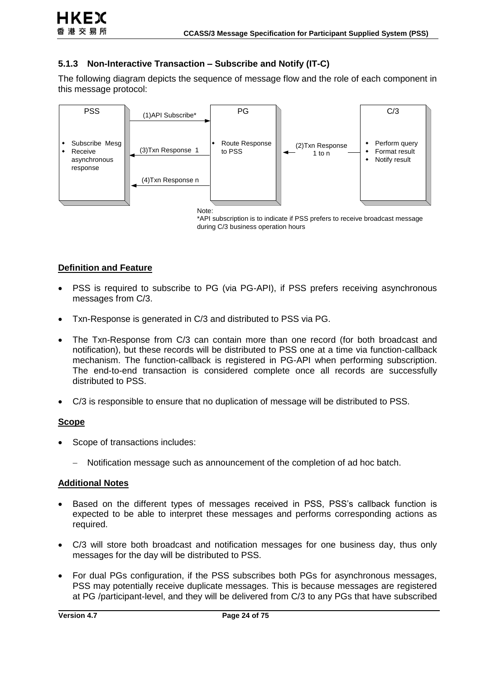

#### **5.1.3 Non-Interactive Transaction – Subscribe and Notify (IT-C)**

The following diagram depicts the sequence of message flow and the role of each component in this message protocol:



\*API subscription is to indicate if PSS prefers to receive broadcast message during C/3 business operation hours

#### **Definition and Feature**

- PSS is required to subscribe to PG (via PG-API), if PSS prefers receiving asynchronous messages from C/3.
- Txn-Response is generated in C/3 and distributed to PSS via PG.
- The Txn-Response from C/3 can contain more than one record (for both broadcast and notification), but these records will be distributed to PSS one at a time via function-callback mechanism. The function-callback is registered in PG-API when performing subscription. The end-to-end transaction is considered complete once all records are successfully distributed to PSS.
- C/3 is responsible to ensure that no duplication of message will be distributed to PSS.

#### **Scope**

- Scope of transactions includes:
	- Notification message such as announcement of the completion of ad hoc batch.

#### **Additional Notes**

- Based on the different types of messages received in PSS, PSS's callback function is expected to be able to interpret these messages and performs corresponding actions as required.
- C/3 will store both broadcast and notification messages for one business day, thus only messages for the day will be distributed to PSS.
- For dual PGs configuration, if the PSS subscribes both PGs for asynchronous messages, PSS may potentially receive duplicate messages. This is because messages are registered at PG /participant-level, and they will be delivered from C/3 to any PGs that have subscribed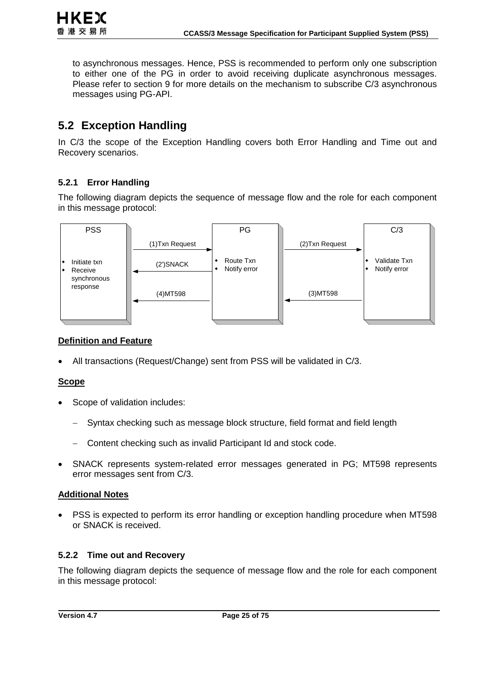to asynchronous messages. Hence, PSS is recommended to perform only one subscription to either one of the PG in order to avoid receiving duplicate asynchronous messages. Please refer to section [9](#page-62-0) for more details on the mechanism to subscribe C/3 asynchronous messages using PG-API.

## **5.2 Exception Handling**

In C/3 the scope of the Exception Handling covers both Error Handling and Time out and Recovery scenarios.

#### **5.2.1 Error Handling**

The following diagram depicts the sequence of message flow and the role for each component in this message protocol:



#### **Definition and Feature**

All transactions (Request/Change) sent from PSS will be validated in C/3.

#### **Scope**

- Scope of validation includes:
	- Syntax checking such as message block structure, field format and field length
	- Content checking such as invalid Participant Id and stock code.
- SNACK represents system-related error messages generated in PG; MT598 represents error messages sent from C/3.

#### **Additional Notes**

 PSS is expected to perform its error handling or exception handling procedure when MT598 or SNACK is received.

#### **5.2.2 Time out and Recovery**

The following diagram depicts the sequence of message flow and the role for each component in this message protocol: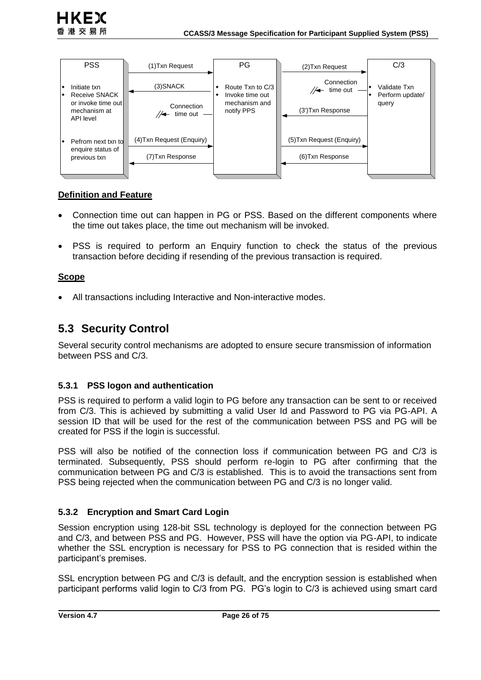

#### **Definition and Feature**

- Connection time out can happen in PG or PSS. Based on the different components where the time out takes place, the time out mechanism will be invoked.
- PSS is required to perform an Enquiry function to check the status of the previous transaction before deciding if resending of the previous transaction is required.

#### **Scope**

All transactions including Interactive and Non-interactive modes.

## **5.3 Security Control**

Several security control mechanisms are adopted to ensure secure transmission of information between PSS and C/3.

#### **5.3.1 PSS logon and authentication**

PSS is required to perform a valid login to PG before any transaction can be sent to or received from C/3. This is achieved by submitting a valid User Id and Password to PG via PG-API. A session ID that will be used for the rest of the communication between PSS and PG will be created for PSS if the login is successful.

PSS will also be notified of the connection loss if communication between PG and C/3 is terminated. Subsequently, PSS should perform re-login to PG after confirming that the communication between PG and C/3 is established. This is to avoid the transactions sent from PSS being rejected when the communication between PG and C/3 is no longer valid.

#### **5.3.2 Encryption and Smart Card Login**

Session encryption using 128-bit SSL technology is deployed for the connection between PG and C/3, and between PSS and PG. However, PSS will have the option via PG-API, to indicate whether the SSL encryption is necessary for PSS to PG connection that is resided within the participant's premises.

SSL encryption between PG and C/3 is default, and the encryption session is established when participant performs valid login to C/3 from PG. PG's login to C/3 is achieved using smart card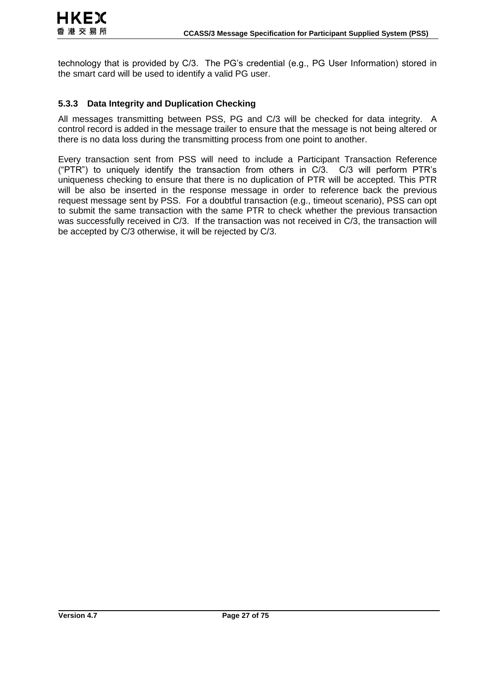technology that is provided by C/3. The PG's credential (e.g., PG User Information) stored in the smart card will be used to identify a valid PG user.

#### **5.3.3 Data Integrity and Duplication Checking**

All messages transmitting between PSS, PG and C/3 will be checked for data integrity. A control record is added in the message trailer to ensure that the message is not being altered or there is no data loss during the transmitting process from one point to another.

Every transaction sent from PSS will need to include a Participant Transaction Reference ("PTR") to uniquely identify the transaction from others in C/3. C/3 will perform PTR's uniqueness checking to ensure that there is no duplication of PTR will be accepted. This PTR will be also be inserted in the response message in order to reference back the previous request message sent by PSS. For a doubtful transaction (e.g., timeout scenario), PSS can opt to submit the same transaction with the same PTR to check whether the previous transaction was successfully received in C/3. If the transaction was not received in C/3, the transaction will be accepted by C/3 otherwise, it will be rejected by C/3.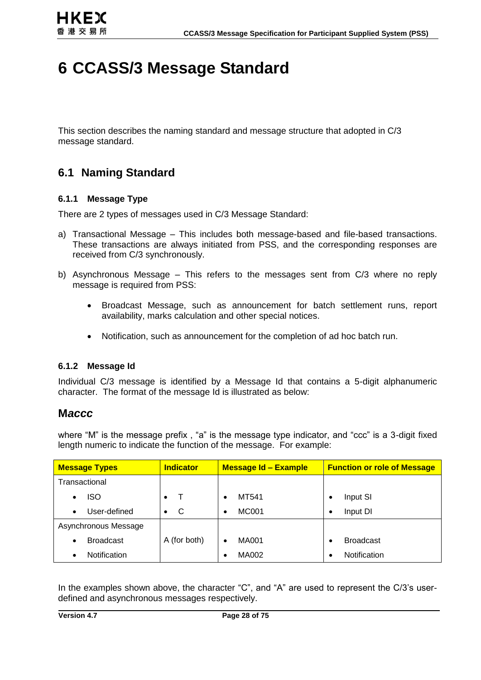## **6 CCASS/3 Message Standard**

This section describes the naming standard and message structure that adopted in C/3 message standard.

## **6.1 Naming Standard**

#### **6.1.1 Message Type**

There are 2 types of messages used in C/3 Message Standard:

- a) Transactional Message This includes both message-based and file-based transactions. These transactions are always initiated from PSS, and the corresponding responses are received from C/3 synchronously.
- b) Asynchronous Message This refers to the messages sent from C/3 where no reply message is required from PSS:
	- Broadcast Message, such as announcement for batch settlement runs, report availability, marks calculation and other special notices.
	- Notification, such as announcement for the completion of ad hoc batch run.

#### **6.1.2 Message Id**

Individual C/3 message is identified by a Message Id that contains a 5-digit alphanumeric character. The format of the message Id is illustrated as below:

#### **M***accc*

where "M" is the message prefix, "a" is the message type indicator, and "ccc" is a 3-digit fixed length numeric to indicate the function of the message. For example:

| <b>Message Types</b>             | <b>Indicator</b> | <b>Message Id - Example</b> | <b>Function or role of Message</b> |
|----------------------------------|------------------|-----------------------------|------------------------------------|
| Transactional                    |                  |                             |                                    |
| iso<br>$\bullet$                 | $\bullet$        | MT541<br>$\bullet$          | Input SI                           |
| User-defined<br>$\bullet$        | C<br>$\bullet$   | <b>MC001</b><br>$\bullet$   | Input DI<br>٠                      |
| Asynchronous Message             |                  |                             |                                    |
| <b>Broadcast</b><br>$\bullet$    | A (for both)     | <b>MA001</b>                | <b>Broadcast</b>                   |
| <b>Notification</b><br>$\bullet$ |                  | MA002<br>٠                  | <b>Notification</b>                |

In the examples shown above, the character "C", and "A" are used to represent the C/3's userdefined and asynchronous messages respectively.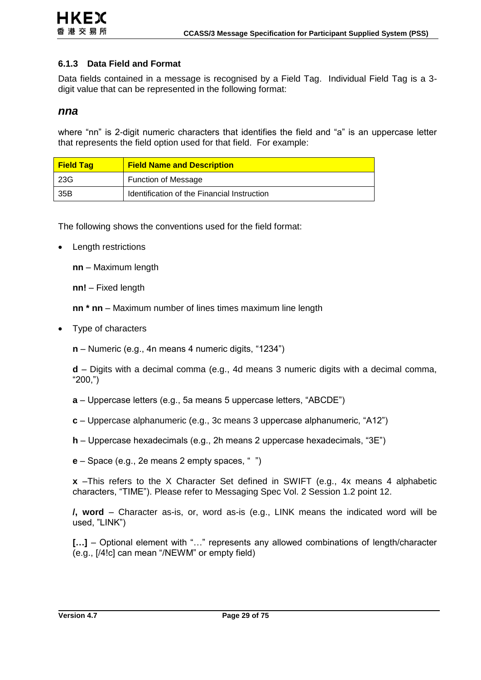#### **6.1.3 Data Field and Format**

Data fields contained in a message is recognised by a Field Tag. Individual Field Tag is a 3 digit value that can be represented in the following format:

#### *nna*

where "nn" is 2-digit numeric characters that identifies the field and "a" is an uppercase letter that represents the field option used for that field. For example:

| <b>Field Tag</b> | <b>Field Name and Description</b>           |
|------------------|---------------------------------------------|
| 23G              | <b>Function of Message</b>                  |
| 35B              | Identification of the Financial Instruction |

The following shows the conventions used for the field format:

Length restrictions

**nn** – Maximum length

**nn!** – Fixed length

**nn \* nn** – Maximum number of lines times maximum line length

Type of characters

**n** – Numeric (e.g., 4n means 4 numeric digits, "1234")

**d** – Digits with a decimal comma (e.g., 4d means 3 numeric digits with a decimal comma, "200,")

**a** – Uppercase letters (e.g., 5a means 5 uppercase letters, "ABCDE")

**c** – Uppercase alphanumeric (e.g., 3c means 3 uppercase alphanumeric, "A12")

- **h**  Uppercase hexadecimals (e.g., 2h means 2 uppercase hexadecimals, "3E")
- **e**  Space (e.g., 2e means 2 empty spaces, " ")

**x** –This refers to the X Character Set defined in SWIFT (e.g., 4x means 4 alphabetic characters, "TIME"). Please refer to Messaging Spec Vol. 2 Session 1.2 point 12.

**/, word** – Character as-is, or, word as-is (e.g., LINK means the indicated word will be used, "LINK")

[...] – Optional element with "..." represents any allowed combinations of length/character (e.g., [/4!c] can mean "/NEWM" or empty field)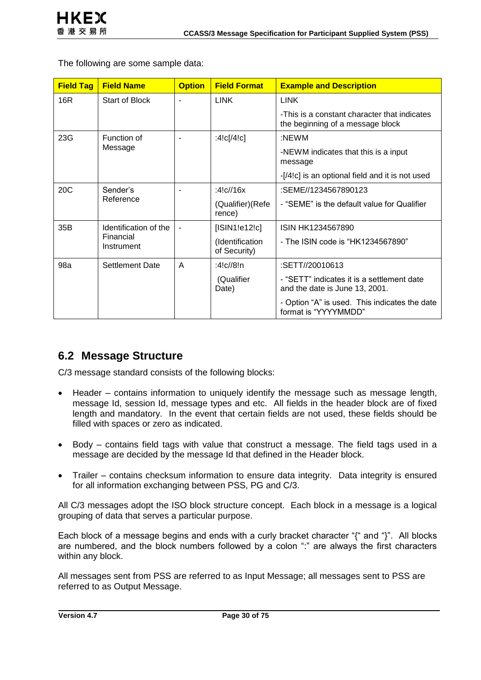The following are some sample data:

| <b>Field Tag</b>             | <b>Field Name</b>       | <b>Option</b>  | <b>Field Format</b>             | <b>Example and Description</b>                                                   |  |  |
|------------------------------|-------------------------|----------------|---------------------------------|----------------------------------------------------------------------------------|--|--|
| 16R                          | Start of Block          |                | <b>LINK</b>                     | <b>LINK</b>                                                                      |  |  |
|                              |                         |                |                                 | -This is a constant character that indicates<br>the beginning of a message block |  |  |
| 23G                          | Function of<br>Message  |                | :4!c[ $/4$ !c]                  | :NEWM                                                                            |  |  |
|                              |                         |                |                                 | -NEWM indicates that this is a input<br>message                                  |  |  |
|                              |                         |                |                                 | -[/4!c] is an optional field and it is not used                                  |  |  |
| 20C                          | Sender's<br>Reference   |                | :4!c//16x                       | :SEME//1234567890123                                                             |  |  |
|                              |                         |                | (Qualifier) (Refe<br>rence)     | - "SEME" is the default value for Qualifier                                      |  |  |
| 35B<br>Identification of the |                         | $\blacksquare$ | [ISIN1!e12!c]                   | ISIN HK1234567890                                                                |  |  |
|                              | Financial<br>Instrument |                | (Identification<br>of Security) | - The ISIN code is "HK1234567890"                                                |  |  |
| 98a                          | Settlement Date         | A              | :4!c//8!n                       | :SETT//20010613                                                                  |  |  |
|                              |                         |                | (Qualifier<br>Date)             | - "SETT" indicates it is a settlement date<br>and the date is June 13, 2001.     |  |  |
|                              |                         |                |                                 | - Option "A" is used. This indicates the date<br>format is "YYYYMMDD"            |  |  |

### **6.2 Message Structure**

C/3 message standard consists of the following blocks:

- Header contains information to uniquely identify the message such as message length, message Id, session Id, message types and etc. All fields in the header block are of fixed length and mandatory. In the event that certain fields are not used, these fields should be filled with spaces or zero as indicated.
- Body contains field tags with value that construct a message. The field tags used in a message are decided by the message Id that defined in the Header block.
- Trailer contains checksum information to ensure data integrity. Data integrity is ensured for all information exchanging between PSS, PG and C/3.

All C/3 messages adopt the ISO block structure concept. Each block in a message is a logical grouping of data that serves a particular purpose.

Each block of a message begins and ends with a curly bracket character "{" and "}". All blocks are numbered, and the block numbers followed by a colon ":" are always the first characters within any block.

All messages sent from PSS are referred to as Input Message; all messages sent to PSS are referred to as Output Message.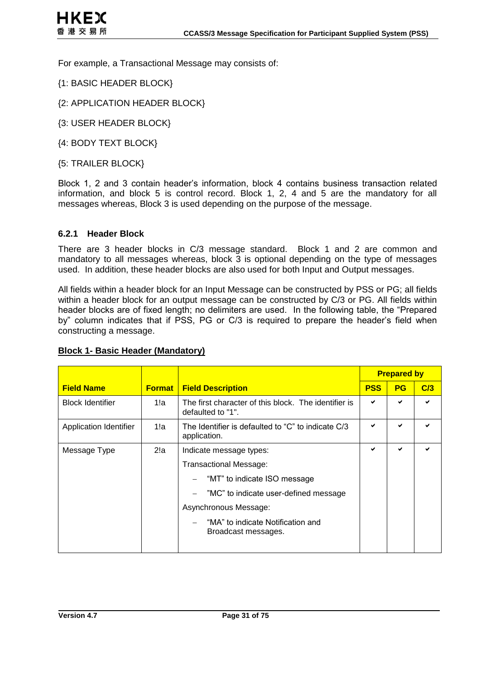For example, a Transactional Message may consists of:

- {1: BASIC HEADER BLOCK}
- {2: APPLICATION HEADER BLOCK}
- {3: USER HEADER BLOCK}
- {4: BODY TEXT BLOCK}
- {5: TRAILER BLOCK}

Block 1, 2 and 3 contain header's information, block 4 contains business transaction related information, and block 5 is control record. Block 1, 2, 4 and 5 are the mandatory for all messages whereas, Block 3 is used depending on the purpose of the message.

#### **6.2.1 Header Block**

There are 3 header blocks in C/3 message standard. Block 1 and 2 are common and mandatory to all messages whereas, block 3 is optional depending on the type of messages used. In addition, these header blocks are also used for both Input and Output messages.

All fields within a header block for an Input Message can be constructed by PSS or PG; all fields within a header block for an output message can be constructed by C/3 or PG. All fields within header blocks are of fixed length; no delimiters are used. In the following table, the "Prepared by" column indicates that if PSS, PG or C/3 is required to prepare the header's field when constructing a message.

|                         |               |                                                                           |  | <b>Prepared by</b> |     |  |
|-------------------------|---------------|---------------------------------------------------------------------------|--|--------------------|-----|--|
| <b>Field Name</b>       | <b>Format</b> | <b>Field Description</b>                                                  |  | <b>PG</b>          | C/3 |  |
| <b>Block Identifier</b> | 1!a           | The first character of this block. The identifier is<br>defaulted to "1". |  |                    |     |  |
| Application Identifier  | 1!a           | The Identifier is defaulted to "C" to indicate C/3<br>application.        |  | ✔                  |     |  |
| Message Type            | 2!a           | Indicate message types:                                                   |  | ✔                  |     |  |
|                         |               | Transactional Message:                                                    |  |                    |     |  |
|                         |               | "MT" to indicate ISO message                                              |  |                    |     |  |
|                         |               | "MC" to indicate user-defined message                                     |  |                    |     |  |
|                         |               | Asynchronous Message:                                                     |  |                    |     |  |
|                         |               | "MA" to indicate Notification and<br>Broadcast messages.                  |  |                    |     |  |

#### **Block 1- Basic Header (Mandatory)**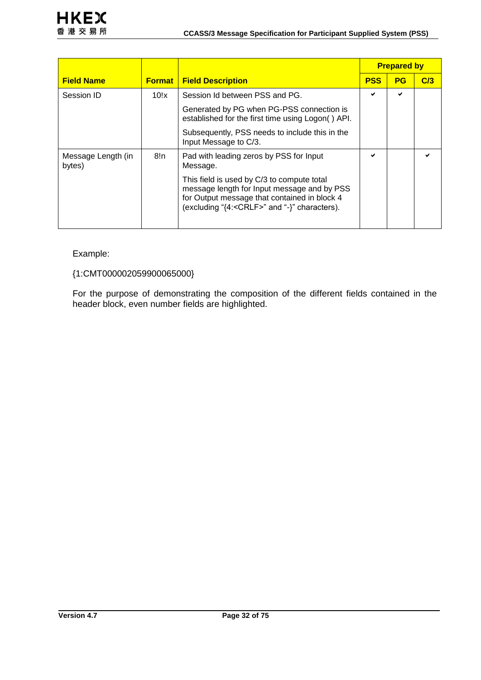|                              |               |                                                                                                                                                                                                   |            | <b>Prepared by</b> |     |  |
|------------------------------|---------------|---------------------------------------------------------------------------------------------------------------------------------------------------------------------------------------------------|------------|--------------------|-----|--|
| <b>Field Name</b>            | <b>Format</b> | <b>Field Description</b>                                                                                                                                                                          | <b>PSS</b> | PG                 | C/3 |  |
| Session ID                   | 10!x          | Session Id between PSS and PG.                                                                                                                                                                    | ✔          | ✔                  |     |  |
|                              |               | Generated by PG when PG-PSS connection is<br>established for the first time using Logon() API.                                                                                                    |            |                    |     |  |
|                              |               | Subsequently, PSS needs to include this in the<br>Input Message to C/3.                                                                                                                           |            |                    |     |  |
| Message Length (in<br>bytes) | 8!n           | Pad with leading zeros by PSS for Input<br>Message.                                                                                                                                               | ✔          |                    |     |  |
|                              |               | This field is used by C/3 to compute total<br>message length for Input message and by PSS<br>for Output message that contained in block 4<br>(excluding "{4: <crlf>" and "-}" characters).</crlf> |            |                    |     |  |

#### Example:

#### {1:CMT000002059900065000}

For the purpose of demonstrating the composition of the different fields contained in the header block, even number fields are highlighted.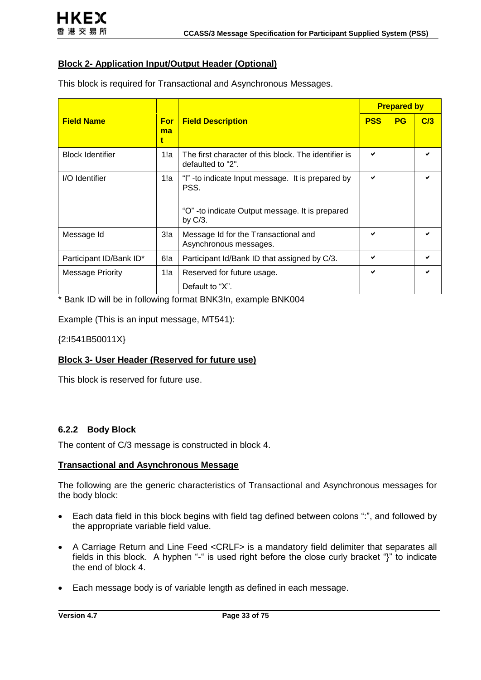#### **Block 2- Application Input/Output Header (Optional)**

This block is required for Transactional and Asynchronous Messages.

|                         |                       |                                                                                                                             | <b>Prepared by</b> |           |     |
|-------------------------|-----------------------|-----------------------------------------------------------------------------------------------------------------------------|--------------------|-----------|-----|
| <b>Field Name</b>       | <b>For</b><br>ma<br>t | <b>Field Description</b>                                                                                                    | <b>PSS</b>         | <b>PG</b> | C/3 |
| <b>Block Identifier</b> | 1!a                   | The first character of this block. The identifier is<br>defaulted to "2".                                                   | ✔                  |           |     |
| I/O Identifier          | 1!a                   | "I" -to indicate Input message. It is prepared by<br>PSS.<br>"O" - to indicate Output message. It is prepared<br>by $C/3$ . | ✔                  |           |     |
| Message Id              | 3!a                   | Message Id for the Transactional and<br>Asynchronous messages.                                                              | ✔                  |           |     |
| Participant ID/Bank ID* | 6!a                   | Participant Id/Bank ID that assigned by C/3.                                                                                | ✔                  |           |     |
| <b>Message Priority</b> | 1!a                   | Reserved for future usage.<br>Default to "X".                                                                               | ✔                  |           |     |

\* Bank ID will be in following format BNK3!n, example BNK004

Example (This is an input message, MT541):

{2:I541B50011X}

#### **Block 3- User Header (Reserved for future use)**

This block is reserved for future use.

#### **6.2.2 Body Block**

The content of C/3 message is constructed in block 4.

#### **Transactional and Asynchronous Message**

The following are the generic characteristics of Transactional and Asynchronous messages for the body block:

- Each data field in this block begins with field tag defined between colons ":", and followed by the appropriate variable field value.
- A Carriage Return and Line Feed <CRLF> is a mandatory field delimiter that separates all fields in this block. A hyphen "-" is used right before the close curly bracket "}" to indicate the end of block 4.
- Each message body is of variable length as defined in each message.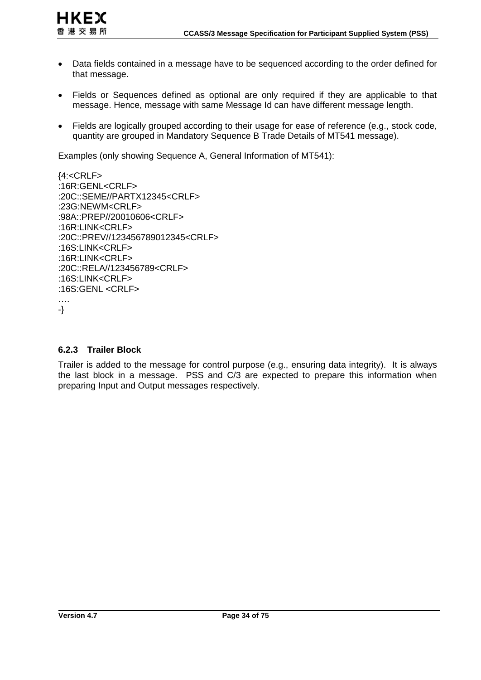

- Data fields contained in a message have to be sequenced according to the order defined for that message.
- Fields or Sequences defined as optional are only required if they are applicable to that message. Hence, message with same Message Id can have different message length.
- Fields are logically grouped according to their usage for ease of reference (e.g., stock code, quantity are grouped in Mandatory Sequence B Trade Details of MT541 message).

Examples (only showing Sequence A, General Information of MT541):

```
{4:<CRLF>
:16R:GENL<CRLF>
:20C::SEME//PARTX12345<CRLF>
:23G:NEWM<CRLF>
:98A::PREP//20010606<CRLF>
:16R:LINK<CRLF>
:20C::PREV//123456789012345<CRLF>
:16S:LINK<CRLF>
:16R:LINK<CRLF>
:20C::RELA//123456789<CRLF>
:16S:LINK<CRLF>
:16S:GENL <CRLF>
….
-}
```
#### **6.2.3 Trailer Block**

Trailer is added to the message for control purpose (e.g., ensuring data integrity). It is always the last block in a message. PSS and C/3 are expected to prepare this information when preparing Input and Output messages respectively.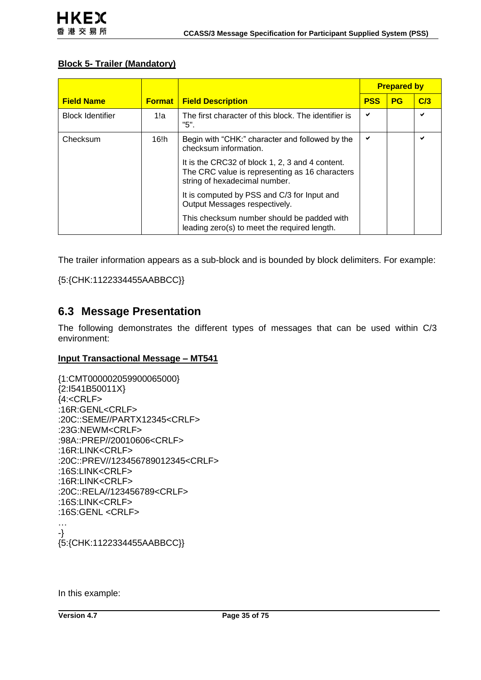#### **Block 5- Trailer (Mandatory)**

|                         |               |                                                                                                                                    | <b>Prepared by</b> |           |     |
|-------------------------|---------------|------------------------------------------------------------------------------------------------------------------------------------|--------------------|-----------|-----|
| <b>Field Name</b>       | <b>Format</b> | <b>Field Description</b>                                                                                                           | <b>PSS</b>         | <b>PG</b> | C/3 |
| <b>Block Identifier</b> | 1!a           | The first character of this block. The identifier is<br>"5".                                                                       | ✔                  |           | ◡   |
| Checksum                | 16!h          | Begin with "CHK:" character and followed by the<br>checksum information.                                                           | ✔                  |           | ✔   |
|                         |               | It is the CRC32 of block 1, 2, 3 and 4 content.<br>The CRC value is representing as 16 characters<br>string of hexadecimal number. |                    |           |     |
|                         |               | It is computed by PSS and C/3 for Input and<br>Output Messages respectively.                                                       |                    |           |     |
|                         |               | This checksum number should be padded with<br>leading zero(s) to meet the required length.                                         |                    |           |     |

The trailer information appears as a sub-block and is bounded by block delimiters. For example:

{5:{CHK:1122334455AABBCC}}

### **6.3 Message Presentation**

The following demonstrates the different types of messages that can be used within C/3 environment:

#### **Input Transactional Message – MT541**

{1:CMT000002059900065000} {2:I541B50011X}  ${4:}\leq$ CRLF $>$ :16R:GENL<CRLF> :20C::SEME//PARTX12345<CRLF> :23G:NEWM<CRLF> :98A::PREP//20010606<CRLF> :16R:LINK<CRLF> :20C::PREV//123456789012345<CRLF> :16S:LINK<CRLF> :16R:LINK<CRLF> :20C::RELA//123456789<CRLF> :16S:LINK<CRLF> :16S:GENL <CRLF> … -} {5:{CHK:1122334455AABBCC}}

In this example: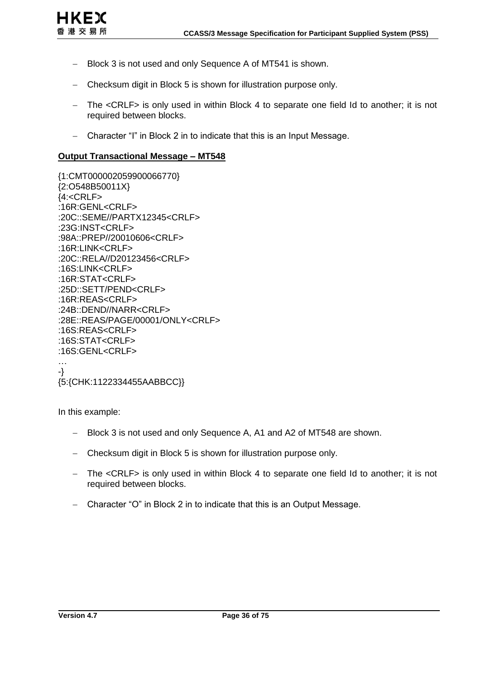

- Block 3 is not used and only Sequence A of MT541 is shown.
- Checksum digit in Block 5 is shown for illustration purpose only.
- The <CRLF> is only used in within Block 4 to separate one field Id to another; it is not required between blocks.
- Character "I" in Block 2 in to indicate that this is an Input Message.

#### **Output Transactional Message – MT548**

{1:CMT000002059900066770} {2:O548B50011X}  ${4:}\leq$ CRLF $>$ :16R:GENL<CRLF> :20C::SEME//PARTX12345<CRLF> :23G:INST<CRLF> :98A::PREP//20010606<CRLF> :16R:LINK<CRLF> :20C::RELA//D20123456<CRLF> :16S:LINK<CRLF> :16R:STAT<CRLF> :25D::SETT/PEND<CRLF> :16R:REAS<CRLF> :24B::DEND//NARR<CRLF> :28E::REAS/PAGE/00001/ONLY<CRLF> :16S:REAS<CRLF> :16S:STAT<CRLF> :16S:GENL<CRLF> … -} {5:{CHK:1122334455AABBCC}}

In this example:

- Block 3 is not used and only Sequence A, A1 and A2 of MT548 are shown.
- Checksum digit in Block 5 is shown for illustration purpose only.
- The <CRLF> is only used in within Block 4 to separate one field Id to another; it is not required between blocks.
- Character "O" in Block 2 in to indicate that this is an Output Message.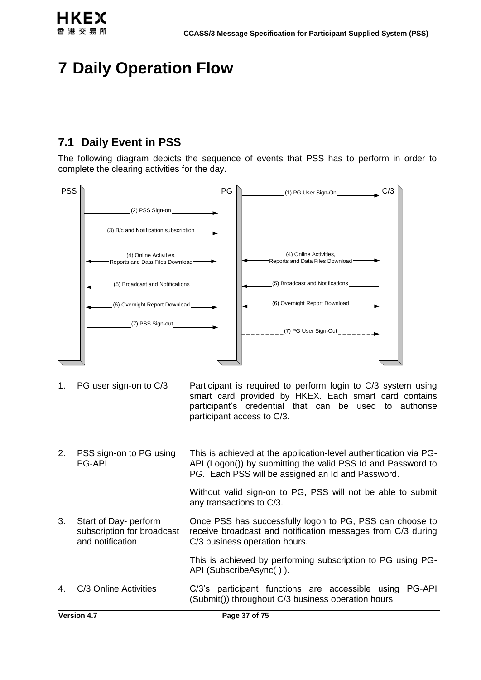

# **7 Daily Operation Flow**

# **7.1 Daily Event in PSS**

The following diagram depicts the sequence of events that PSS has to perform in order to complete the clearing activities for the day.



- 1. PG user sign-on to C/3 Participant is required to perform login to C/3 system using smart card provided by HKEX. Each smart card contains participant's credential that can be used to authorise participant access to C/3.
- 2. PSS sign-on to PG using PG-API This is achieved at the application-level authentication via PG-API (Logon()) by submitting the valid PSS Id and Password to PG. Each PSS will be assigned an Id and Password.

Without valid sign-on to PG, PSS will not be able to submit any transactions to C/3.

3. Start of Day- perform subscription for broadcast and notification Once PSS has successfully logon to PG, PSS can choose to receive broadcast and notification messages from C/3 during C/3 business operation hours.

> This is achieved by performing subscription to PG using PG-API (SubscribeAsync( ) ).

4. C/3 Online Activities C/3's participant functions are accessible using PG-API (Submit()) throughout C/3 business operation hours.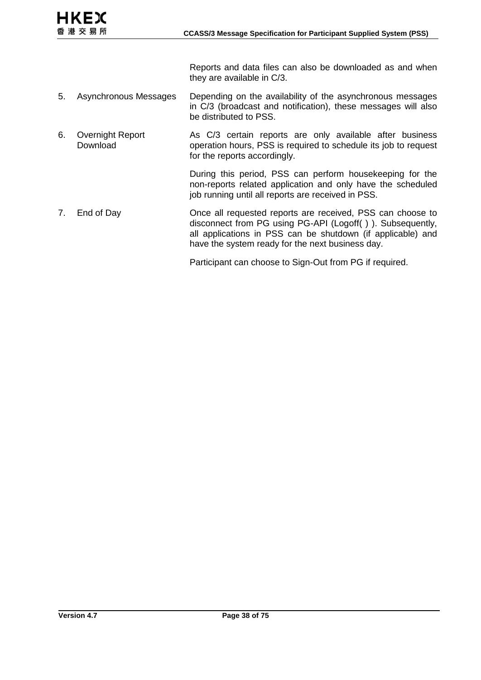Reports and data files can also be downloaded as and when they are available in C/3.

- 5. Asynchronous Messages Depending on the availability of the asynchronous messages in C/3 (broadcast and notification), these messages will also be distributed to PSS.
- 6. Overnight Report Download As C/3 certain reports are only available after business operation hours, PSS is required to schedule its job to request for the reports accordingly.

During this period, PSS can perform housekeeping for the non-reports related application and only have the scheduled job running until all reports are received in PSS.

7. End of Day Once all requested reports are received, PSS can choose to disconnect from PG using PG-API (Logoff( ) ). Subsequently, all applications in PSS can be shutdown (if applicable) and have the system ready for the next business day.

Participant can choose to Sign-Out from PG if required.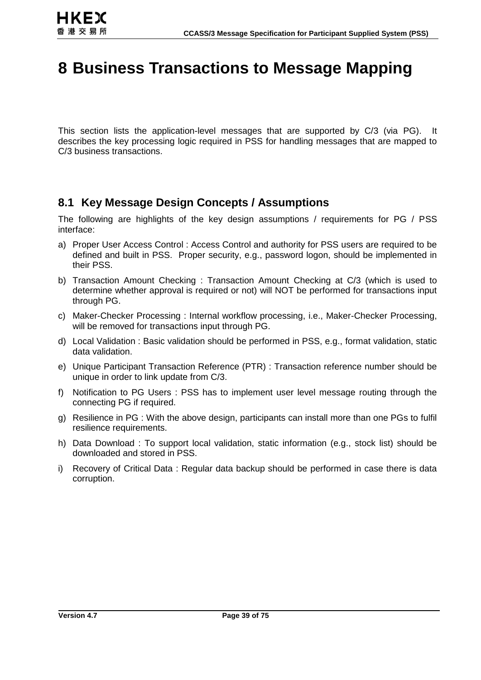# **8 Business Transactions to Message Mapping**

This section lists the application-level messages that are supported by C/3 (via PG). It describes the key processing logic required in PSS for handling messages that are mapped to C/3 business transactions.

# **8.1 Key Message Design Concepts / Assumptions**

The following are highlights of the key design assumptions / requirements for PG / PSS interface:

- a) Proper User Access Control : Access Control and authority for PSS users are required to be defined and built in PSS. Proper security, e.g., password logon, should be implemented in their PSS.
- b) Transaction Amount Checking : Transaction Amount Checking at C/3 (which is used to determine whether approval is required or not) will NOT be performed for transactions input through PG.
- c) Maker-Checker Processing : Internal workflow processing, i.e., Maker-Checker Processing, will be removed for transactions input through PG.
- d) Local Validation : Basic validation should be performed in PSS, e.g., format validation, static data validation.
- e) Unique Participant Transaction Reference (PTR) : Transaction reference number should be unique in order to link update from C/3.
- f) Notification to PG Users : PSS has to implement user level message routing through the connecting PG if required.
- g) Resilience in PG : With the above design, participants can install more than one PGs to fulfil resilience requirements.
- h) Data Download : To support local validation, static information (e.g., stock list) should be downloaded and stored in PSS.
- i) Recovery of Critical Data : Regular data backup should be performed in case there is data corruption.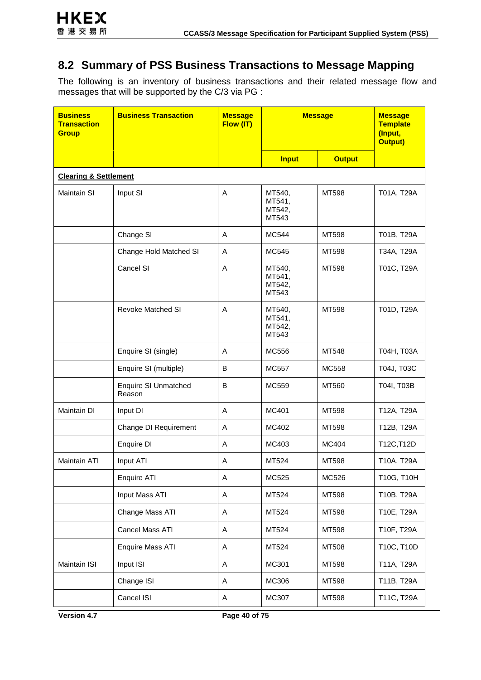# **8.2 Summary of PSS Business Transactions to Message Mapping**

The following is an inventory of business transactions and their related message flow and messages that will be supported by the C/3 via PG :

| <b>Business</b><br><b>Transaction</b><br><b>Group</b> | <b>Business Transaction</b>           | <b>Message</b><br>Flow (IT) | <b>Message</b>                      |               | <b>Message</b><br><b>Template</b><br>(Input,<br><b>Output)</b> |
|-------------------------------------------------------|---------------------------------------|-----------------------------|-------------------------------------|---------------|----------------------------------------------------------------|
|                                                       |                                       |                             | <b>Input</b>                        | <b>Output</b> |                                                                |
| <b>Clearing &amp; Settlement</b>                      |                                       |                             |                                     |               |                                                                |
| <b>Maintain SI</b>                                    | Input SI                              | A                           | MT540,<br>MT541,<br>MT542,<br>MT543 | MT598         | T01A, T29A                                                     |
|                                                       | Change SI                             | A                           | MC544                               | MT598         | T01B, T29A                                                     |
|                                                       | Change Hold Matched SI                | Α                           | MC545                               | MT598         | T34A, T29A                                                     |
|                                                       | Cancel SI                             | A                           | MT540,<br>MT541,<br>MT542,<br>MT543 | MT598         | T01C, T29A                                                     |
|                                                       | <b>Revoke Matched SI</b>              | A                           | MT540,<br>MT541,<br>MT542,<br>MT543 | MT598         | T01D, T29A                                                     |
|                                                       | Enquire SI (single)                   | Α                           | MC556                               | MT548         | T04H, T03A                                                     |
|                                                       | Enquire SI (multiple)                 | B                           | <b>MC557</b>                        | MC558         | T04J, T03C                                                     |
|                                                       | <b>Enquire SI Unmatched</b><br>Reason | B                           | MC559                               | MT560         | T04I, T03B                                                     |
| Maintain DI                                           | Input DI                              | A                           | MC401                               | MT598         | T12A, T29A                                                     |
|                                                       | Change DI Requirement                 | Α                           | MC402                               | MT598         | T12B, T29A                                                     |
|                                                       | Enquire DI                            | A                           | MC403                               | MC404         | T12C, T12D                                                     |
| Maintain ATI                                          | Input ATI                             | Α                           | MT524                               | MT598         | T10A, T29A                                                     |
|                                                       | Enquire ATI                           | Α                           | MC525                               | MC526         | T10G, T10H                                                     |
|                                                       | Input Mass ATI                        | Α                           | MT524                               | MT598         | T10B, T29A                                                     |
|                                                       | Change Mass ATI                       | Α                           | MT524                               | MT598         | T10E, T29A                                                     |
|                                                       | Cancel Mass ATI                       | Α                           | MT524                               | MT598         | T10F, T29A                                                     |
|                                                       | <b>Enquire Mass ATI</b>               | A                           | MT524                               | MT508         | T10C, T10D                                                     |
| Maintain ISI                                          | Input ISI                             | A                           | MC301                               | MT598         | T11A, T29A                                                     |
|                                                       | Change ISI                            | Α                           | MC306                               | MT598         | T11B, T29A                                                     |
|                                                       | Cancel ISI                            | Α                           | MC307                               | MT598         | T11C, T29A                                                     |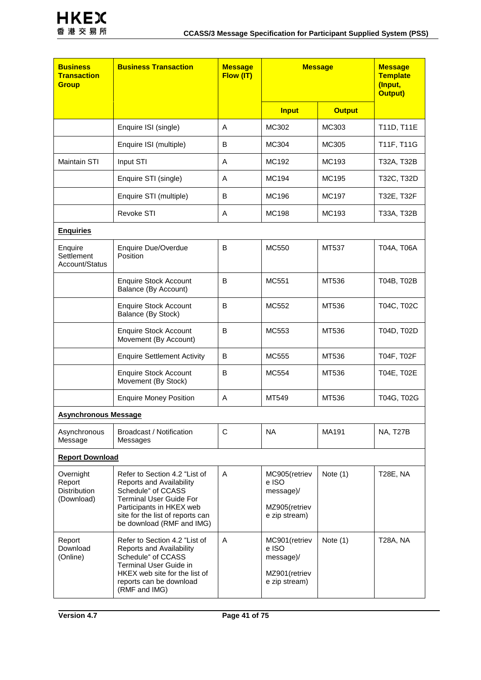| <b>Business</b><br><b>Transaction</b><br><b>Group</b>    | <b>Business Transaction</b>                                                                                                                                                            | <b>Message</b><br>Flow (IT) | <b>Message</b>                                                          |               | <b>Message</b><br><b>Template</b><br>(Input,<br><b>Output)</b> |
|----------------------------------------------------------|----------------------------------------------------------------------------------------------------------------------------------------------------------------------------------------|-----------------------------|-------------------------------------------------------------------------|---------------|----------------------------------------------------------------|
|                                                          |                                                                                                                                                                                        |                             | <b>Input</b>                                                            | <b>Output</b> |                                                                |
|                                                          | Enquire ISI (single)                                                                                                                                                                   | A                           | MC302                                                                   | MC303         | T11D, T11E                                                     |
|                                                          | Enquire ISI (multiple)                                                                                                                                                                 | B                           | MC304                                                                   | MC305         | T11F, T11G                                                     |
| <b>Maintain STI</b>                                      | Input STI                                                                                                                                                                              | A                           | MC192                                                                   | MC193         | T32A, T32B                                                     |
|                                                          | Enquire STI (single)                                                                                                                                                                   | A                           | MC194                                                                   | MC195         | T32C, T32D                                                     |
|                                                          | Enquire STI (multiple)                                                                                                                                                                 | B                           | MC196                                                                   | MC197         | T32E, T32F                                                     |
|                                                          | <b>Revoke STI</b>                                                                                                                                                                      | Α                           | <b>MC198</b>                                                            | MC193         | T33A, T32B                                                     |
| <b>Enquiries</b>                                         |                                                                                                                                                                                        |                             |                                                                         |               |                                                                |
| Enquire<br>Settlement<br>Account/Status                  | <b>Enquire Due/Overdue</b><br>Position                                                                                                                                                 | B                           | MC550                                                                   | MT537         | T04A, T06A                                                     |
|                                                          | <b>Enquire Stock Account</b><br>Balance (By Account)                                                                                                                                   | B                           | MC551                                                                   | MT536         | T04B, T02B                                                     |
|                                                          | <b>Enquire Stock Account</b><br>Balance (By Stock)                                                                                                                                     | B                           | MC552                                                                   | MT536         | T04C, T02C                                                     |
|                                                          | <b>Enquire Stock Account</b><br>Movement (By Account)                                                                                                                                  | B                           | MC553                                                                   | MT536         | T04D, T02D                                                     |
|                                                          | <b>Enquire Settlement Activity</b>                                                                                                                                                     | B                           | MC555                                                                   | MT536         | T04F, T02F                                                     |
|                                                          | <b>Enquire Stock Account</b><br>Movement (By Stock)                                                                                                                                    | B                           | MC554                                                                   | MT536         | T04E, T02E                                                     |
|                                                          | <b>Enquire Money Position</b>                                                                                                                                                          | Α                           | MT549                                                                   | MT536         | T04G, T02G                                                     |
| <b>Asynchronous Message</b>                              |                                                                                                                                                                                        |                             |                                                                         |               |                                                                |
| Asynchronous<br>Message                                  | Broadcast / Notification<br>Messages                                                                                                                                                   | С                           | <b>NA</b>                                                               | MA191         | <b>NA, T27B</b>                                                |
|                                                          | <b>Report Download</b>                                                                                                                                                                 |                             |                                                                         |               |                                                                |
| Overnight<br>Report<br><b>Distribution</b><br>(Download) | Refer to Section 4.2 "List of<br>Reports and Availability<br>Schedule" of CCASS<br><b>Terminal User Guide For</b>                                                                      | Α                           | MC905(retriev<br>e ISO<br>message)/                                     | Note $(1)$    | <b>T28E, NA</b>                                                |
|                                                          | Participants in HKEX web<br>site for the list of reports can<br>be download (RMF and IMG)                                                                                              |                             | MZ905(retriev<br>e zip stream)                                          |               |                                                                |
| Report<br>Download<br>(Online)                           | Refer to Section 4.2 "List of<br>Reports and Availability<br>Schedule" of CCASS<br>Terminal User Guide in<br>HKEX web site for the list of<br>reports can be download<br>(RMF and IMG) | Α                           | MC901 (retriev<br>e ISO<br>message)/<br>MZ901 (retriev<br>e zip stream) | Note $(1)$    | T28A, NA                                                       |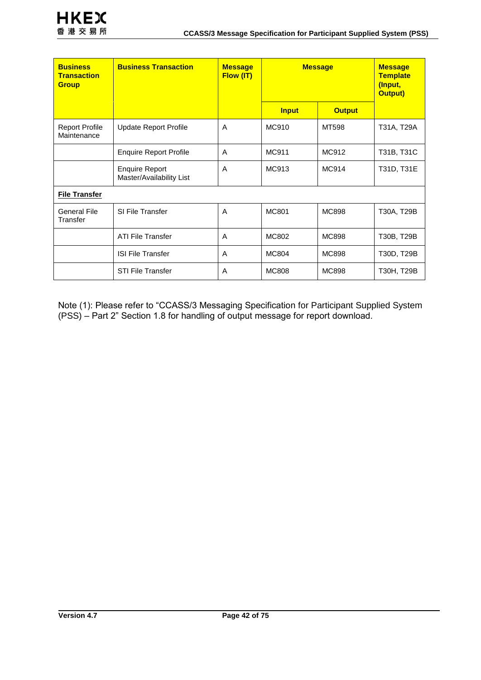| <b>Business</b><br><b>Transaction</b><br><b>Group</b> | <b>Business Transaction</b>                       | <b>Message</b><br><b>Flow (IT)</b> | <b>Message</b> |               | <b>Message</b><br><b>Template</b><br>(Input,<br><b>Output)</b> |
|-------------------------------------------------------|---------------------------------------------------|------------------------------------|----------------|---------------|----------------------------------------------------------------|
|                                                       |                                                   |                                    | <b>Input</b>   | <b>Output</b> |                                                                |
| <b>Report Profile</b><br>Maintenance                  | <b>Update Report Profile</b>                      | A                                  | <b>MC910</b>   | MT598         | T31A, T29A                                                     |
|                                                       | <b>Enquire Report Profile</b>                     | A                                  | MC911          | MC912         | T31B, T31C                                                     |
|                                                       | <b>Enquire Report</b><br>Master/Availability List | A                                  | MC913          | MC914         | T31D, T31E                                                     |
| <b>File Transfer</b>                                  |                                                   |                                    |                |               |                                                                |
| <b>General File</b><br>Transfer                       | SI File Transfer                                  | A                                  | <b>MC801</b>   | <b>MC898</b>  | T30A, T29B                                                     |
|                                                       | <b>ATI File Transfer</b>                          | A                                  | <b>MC802</b>   | <b>MC898</b>  | T30B, T29B                                                     |
|                                                       | <b>ISI File Transfer</b>                          | A                                  | <b>MC804</b>   | <b>MC898</b>  | T30D, T29B                                                     |
|                                                       | <b>STI File Transfer</b>                          | A                                  | <b>MC808</b>   | MC898         | T30H, T29B                                                     |

Note (1): Please refer to "CCASS/3 Messaging Specification for Participant Supplied System (PSS) – Part 2" Section 1.8 for handling of output message for report download.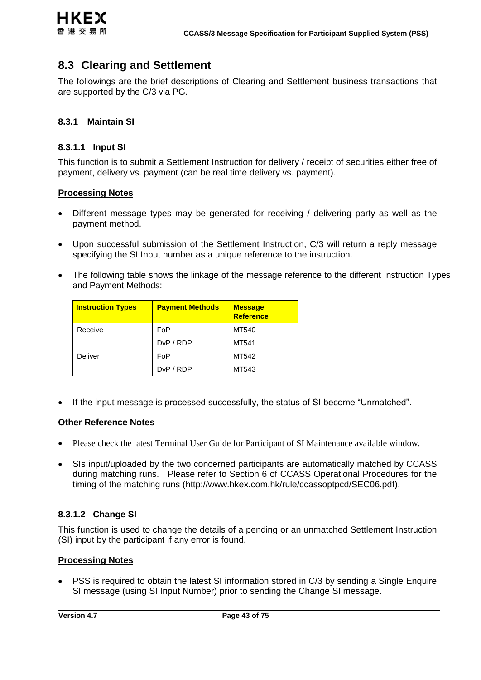# **8.3 Clearing and Settlement**

The followings are the brief descriptions of Clearing and Settlement business transactions that are supported by the C/3 via PG.

### **8.3.1 Maintain SI**

#### **8.3.1.1 Input SI**

This function is to submit a Settlement Instruction for delivery / receipt of securities either free of payment, delivery vs. payment (can be real time delivery vs. payment).

#### **Processing Notes**

- Different message types may be generated for receiving / delivering party as well as the payment method.
- Upon successful submission of the Settlement Instruction, C/3 will return a reply message specifying the SI Input number as a unique reference to the instruction.
- The following table shows the linkage of the message reference to the different Instruction Types and Payment Methods:

| <b>Instruction Types</b> | <b>Payment Methods</b>              | <b>Message</b><br><b>Reference</b> |
|--------------------------|-------------------------------------|------------------------------------|
| Receive                  | FoP                                 | MT540                              |
|                          | D <sub>v</sub> P / R <sub>D</sub> P | MT541                              |
| Deliver                  | FoP                                 | MT542                              |
|                          | D <sub>v</sub> P / R <sub>DP</sub>  | MT543                              |

If the input message is processed successfully, the status of SI become "Unmatched".

#### **Other Reference Notes**

- Please check the latest Terminal User Guide for Participant of SI Maintenance available window.
- SIs input/uploaded by the two concerned participants are automatically matched by CCASS during matching runs. Please refer to Section 6 of CCASS Operational Procedures for the timing of the matching runs [\(http://www.hkex.com.hk/rule/ccassoptpcd/SEC06.pdf\)](http://www.hkex.com.hk/rule/ccassoptpcd/SEC06.pdf).

# **8.3.1.2 Change SI**

This function is used to change the details of a pending or an unmatched Settlement Instruction (SI) input by the participant if any error is found.

#### **Processing Notes**

 PSS is required to obtain the latest SI information stored in C/3 by sending a Single Enquire SI message (using SI Input Number) prior to sending the Change SI message.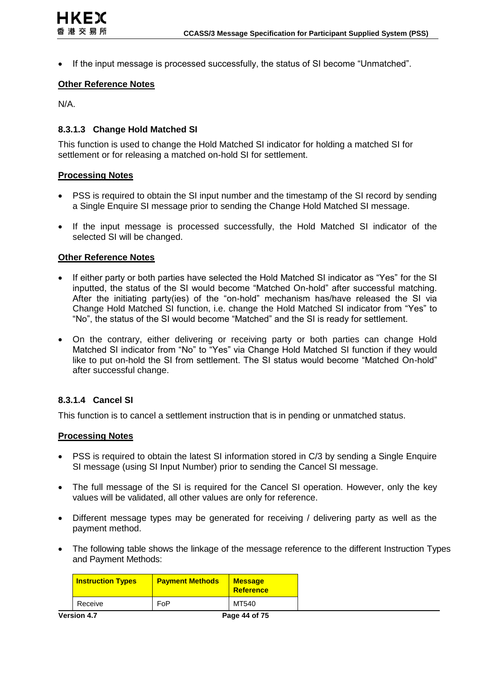If the input message is processed successfully, the status of SI become "Unmatched".

#### **Other Reference Notes**

N/A.

#### **8.3.1.3 Change Hold Matched SI**

This function is used to change the Hold Matched SI indicator for holding a matched SI for settlement or for releasing a matched on-hold SI for settlement.

#### **Processing Notes**

- PSS is required to obtain the SI input number and the timestamp of the SI record by sending a Single Enquire SI message prior to sending the Change Hold Matched SI message.
- If the input message is processed successfully, the Hold Matched SI indicator of the selected SI will be changed.

#### **Other Reference Notes**

- If either party or both parties have selected the Hold Matched SI indicator as "Yes" for the SI inputted, the status of the SI would become "Matched On-hold" after successful matching. After the initiating party(ies) of the "on-hold" mechanism has/have released the SI via Change Hold Matched SI function, i.e. change the Hold Matched SI indicator from "Yes" to "No", the status of the SI would become "Matched" and the SI is ready for settlement.
- On the contrary, either delivering or receiving party or both parties can change Hold Matched SI indicator from "No" to "Yes" via Change Hold Matched SI function if they would like to put on-hold the SI from settlement. The SI status would become "Matched On-hold" after successful change.

#### **8.3.1.4 Cancel SI**

This function is to cancel a settlement instruction that is in pending or unmatched status.

- PSS is required to obtain the latest SI information stored in C/3 by sending a Single Enquire SI message (using SI Input Number) prior to sending the Cancel SI message.
- The full message of the SI is required for the Cancel SI operation. However, only the key values will be validated, all other values are only for reference.
- Different message types may be generated for receiving / delivering party as well as the payment method.
- The following table shows the linkage of the message reference to the different Instruction Types and Payment Methods:

|                    | <b>Instruction Types</b> | <b>Payment Methods</b> | <b>Message</b><br><b>Reference</b> |
|--------------------|--------------------------|------------------------|------------------------------------|
|                    | Receive                  | FoP                    | MT540                              |
| <b>Version 4.7</b> |                          |                        | Page 44 of 75                      |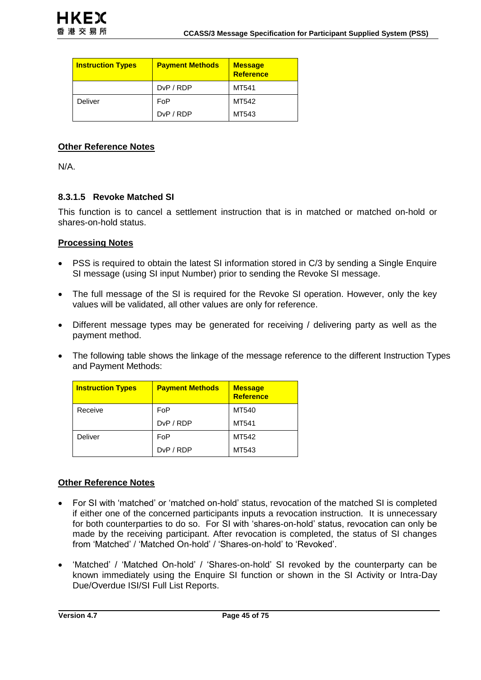| <b>Instruction Types</b> | <b>Payment Methods</b> | <b>Message</b><br><b>Reference</b> |
|--------------------------|------------------------|------------------------------------|
|                          | DvP/RDP                | MT541                              |
| Deliver                  | FoP                    | MT542                              |
|                          | DvP/RDP                | MT543                              |

N/A.

### **8.3.1.5 Revoke Matched SI**

This function is to cancel a settlement instruction that is in matched or matched on-hold or shares-on-hold status.

### **Processing Notes**

- PSS is required to obtain the latest SI information stored in C/3 by sending a Single Enquire SI message (using SI input Number) prior to sending the Revoke SI message.
- The full message of the SI is required for the Revoke SI operation. However, only the key values will be validated, all other values are only for reference.
- Different message types may be generated for receiving / delivering party as well as the payment method.
- The following table shows the linkage of the message reference to the different Instruction Types and Payment Methods:

| <b>Instruction Types</b> | <b>Payment Methods</b>             | <b>Message</b><br><b>Reference</b> |
|--------------------------|------------------------------------|------------------------------------|
| Receive                  | FoP                                | MT540                              |
|                          | D <sub>v</sub> P / R <sub>DP</sub> | MT541                              |
| Deliver                  | FoP                                | MT542                              |
|                          | D <sub>v</sub> P / R <sub>DP</sub> | MT543                              |

#### **Other Reference Notes**

- For SI with 'matched' or 'matched on-hold' status, revocation of the matched SI is completed if either one of the concerned participants inputs a revocation instruction. It is unnecessary for both counterparties to do so. For SI with 'shares-on-hold' status, revocation can only be made by the receiving participant. After revocation is completed, the status of SI changes from 'Matched' / 'Matched On-hold' / 'Shares-on-hold' to 'Revoked'.
- 'Matched' / 'Matched On-hold' / 'Shares-on-hold' SI revoked by the counterparty can be known immediately using the Enquire SI function or shown in the SI Activity or Intra-Day Due/Overdue ISI/SI Full List Reports.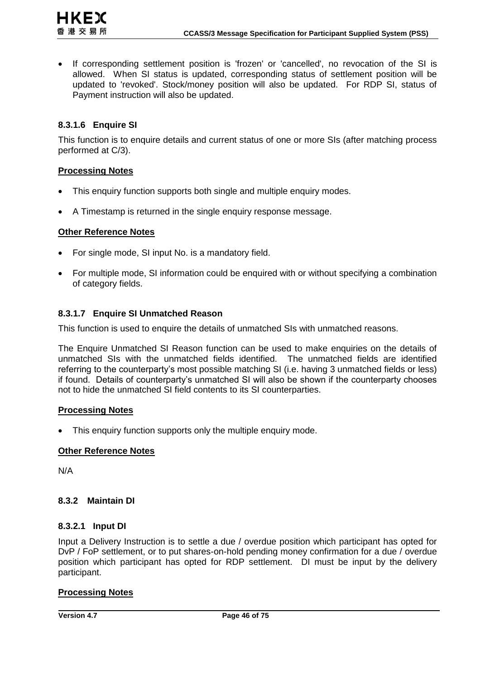

• If corresponding settlement position is 'frozen' or 'cancelled', no revocation of the SI is allowed. When SI status is updated, corresponding status of settlement position will be updated to 'revoked'. Stock/money position will also be updated. For RDP SI, status of Payment instruction will also be updated.

# **8.3.1.6 Enquire SI**

This function is to enquire details and current status of one or more SIs (after matching process performed at C/3).

#### **Processing Notes**

- This enquiry function supports both single and multiple enquiry modes.
- A Timestamp is returned in the single enquiry response message.

#### **Other Reference Notes**

- For single mode, SI input No. is a mandatory field.
- For multiple mode, SI information could be enquired with or without specifying a combination of category fields.

#### **8.3.1.7 Enquire SI Unmatched Reason**

This function is used to enquire the details of unmatched SIs with unmatched reasons.

The Enquire Unmatched SI Reason function can be used to make enquiries on the details of unmatched SIs with the unmatched fields identified. The unmatched fields are identified referring to the counterparty's most possible matching SI (i.e. having 3 unmatched fields or less) if found. Details of counterparty's unmatched SI will also be shown if the counterparty chooses not to hide the unmatched SI field contents to its SI counterparties.

#### **Processing Notes**

• This enquiry function supports only the multiple enquiry mode.

#### **Other Reference Notes**

N/A

#### **8.3.2 Maintain DI**

#### **8.3.2.1 Input DI**

Input a Delivery Instruction is to settle a due / overdue position which participant has opted for DvP / FoP settlement, or to put shares-on-hold pending money confirmation for a due / overdue position which participant has opted for RDP settlement. DI must be input by the delivery participant.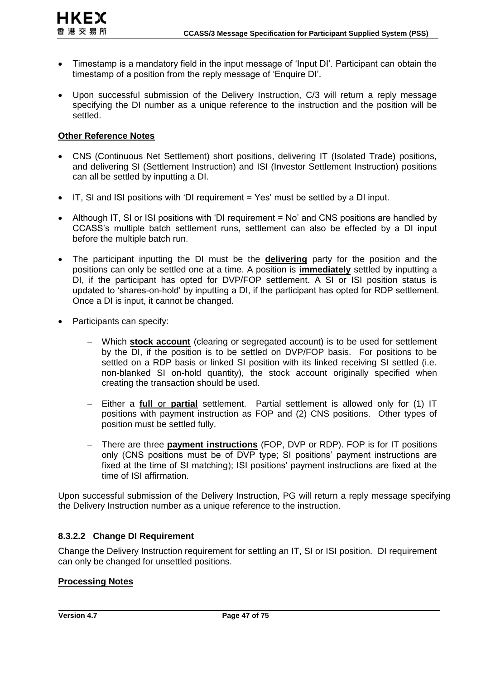- **HKEX** 香港交易所
- Timestamp is a mandatory field in the input message of 'Input DI'. Participant can obtain the timestamp of a position from the reply message of 'Enquire DI'.
- Upon successful submission of the Delivery Instruction, C/3 will return a reply message specifying the DI number as a unique reference to the instruction and the position will be settled.

- CNS (Continuous Net Settlement) short positions, delivering IT (Isolated Trade) positions, and delivering SI (Settlement Instruction) and ISI (Investor Settlement Instruction) positions can all be settled by inputting a DI.
- IT, SI and ISI positions with 'DI requirement = Yes' must be settled by a DI input.
- Although IT, SI or ISI positions with 'DI requirement = No' and CNS positions are handled by CCASS's multiple batch settlement runs, settlement can also be effected by a DI input before the multiple batch run.
- The participant inputting the DI must be the **delivering** party for the position and the positions can only be settled one at a time. A position is **immediately** settled by inputting a DI, if the participant has opted for DVP/FOP settlement. A SI or ISI position status is updated to 'shares-on-hold' by inputting a DI, if the participant has opted for RDP settlement. Once a DI is input, it cannot be changed.
- Participants can specify:
	- Which **stock account** (clearing or segregated account) is to be used for settlement by the DI, if the position is to be settled on DVP/FOP basis. For positions to be settled on a RDP basis or linked SI position with its linked receiving SI settled (i.e. non-blanked SI on-hold quantity), the stock account originally specified when creating the transaction should be used.
	- Either a **full** or **partial** settlement. Partial settlement is allowed only for (1) IT positions with payment instruction as FOP and (2) CNS positions. Other types of position must be settled fully.
	- There are three **payment instructions** (FOP, DVP or RDP). FOP is for IT positions only (CNS positions must be of DVP type; SI positions' payment instructions are fixed at the time of SI matching); ISI positions' payment instructions are fixed at the time of ISI affirmation.

Upon successful submission of the Delivery Instruction, PG will return a reply message specifying the Delivery Instruction number as a unique reference to the instruction.

# **8.3.2.2 Change DI Requirement**

Change the Delivery Instruction requirement for settling an IT, SI or ISI position. DI requirement can only be changed for unsettled positions.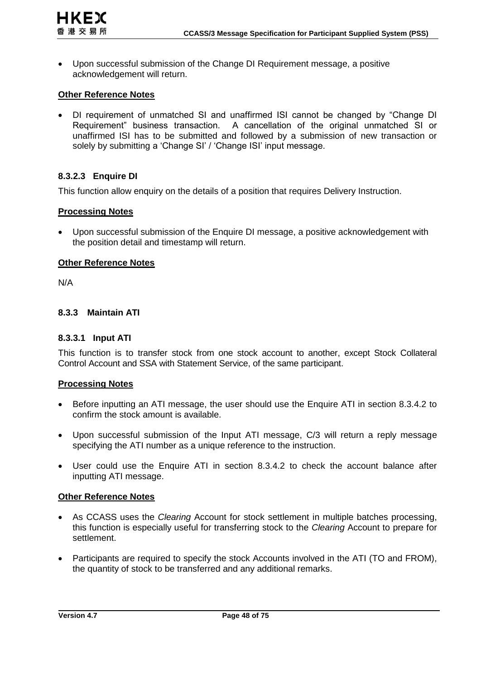Upon successful submission of the Change DI Requirement message, a positive acknowledgement will return.

#### **Other Reference Notes**

 DI requirement of unmatched SI and unaffirmed ISI cannot be changed by "Change DI Requirement" business transaction. A cancellation of the original unmatched SI or unaffirmed ISI has to be submitted and followed by a submission of new transaction or solely by submitting a 'Change SI' / 'Change ISI' input message.

# **8.3.2.3 Enquire DI**

This function allow enquiry on the details of a position that requires Delivery Instruction.

#### **Processing Notes**

 Upon successful submission of the Enquire DI message, a positive acknowledgement with the position detail and timestamp will return.

#### **Other Reference Notes**

N/A

#### **8.3.3 Maintain ATI**

#### **8.3.3.1 Input ATI**

This function is to transfer stock from one stock account to another, except Stock Collateral Control Account and SSA with Statement Service, of the same participant.

#### **Processing Notes**

- Before inputting an ATI message, the user should use the Enquire ATI in section 8.3.4.2 to confirm the stock amount is available.
- Upon successful submission of the Input ATI message, C/3 will return a reply message specifying the ATI number as a unique reference to the instruction.
- User could use the Enquire ATI in section 8.3.4.2 to check the account balance after inputting ATI message.

#### **Other Reference Notes**

- As CCASS uses the *Clearing* Account for stock settlement in multiple batches processing, this function is especially useful for transferring stock to the *Clearing* Account to prepare for settlement.
- Participants are required to specify the stock Accounts involved in the ATI (TO and FROM), the quantity of stock to be transferred and any additional remarks.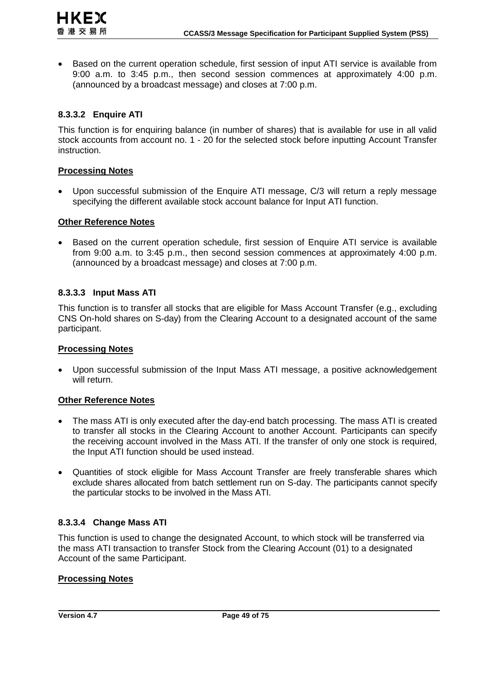Based on the current operation schedule, first session of input ATI service is available from 9:00 a.m. to 3:45 p.m., then second session commences at approximately 4:00 p.m. (announced by a broadcast message) and closes at 7:00 p.m.

### **8.3.3.2 Enquire ATI**

**HKEX** 香港交易所

This function is for enquiring balance (in number of shares) that is available for use in all valid stock accounts from account no. 1 - 20 for the selected stock before inputting Account Transfer instruction.

#### **Processing Notes**

 Upon successful submission of the Enquire ATI message, C/3 will return a reply message specifying the different available stock account balance for Input ATI function.

#### **Other Reference Notes**

• Based on the current operation schedule, first session of Enquire ATI service is available from 9:00 a.m. to 3:45 p.m., then second session commences at approximately 4:00 p.m. (announced by a broadcast message) and closes at 7:00 p.m.

#### **8.3.3.3 Input Mass ATI**

This function is to transfer all stocks that are eligible for Mass Account Transfer (e.g., excluding CNS On-hold shares on S-day) from the Clearing Account to a designated account of the same participant.

#### **Processing Notes**

 Upon successful submission of the Input Mass ATI message, a positive acknowledgement will return.

#### **Other Reference Notes**

- The mass ATI is only executed after the day-end batch processing. The mass ATI is created to transfer all stocks in the Clearing Account to another Account. Participants can specify the receiving account involved in the Mass ATI. If the transfer of only one stock is required, the Input ATI function should be used instead.
- Quantities of stock eligible for Mass Account Transfer are freely transferable shares which exclude shares allocated from batch settlement run on S-day. The participants cannot specify the particular stocks to be involved in the Mass ATI.

#### **8.3.3.4 Change Mass ATI**

This function is used to change the designated Account, to which stock will be transferred via the mass ATI transaction to transfer Stock from the Clearing Account (01) to a designated Account of the same Participant.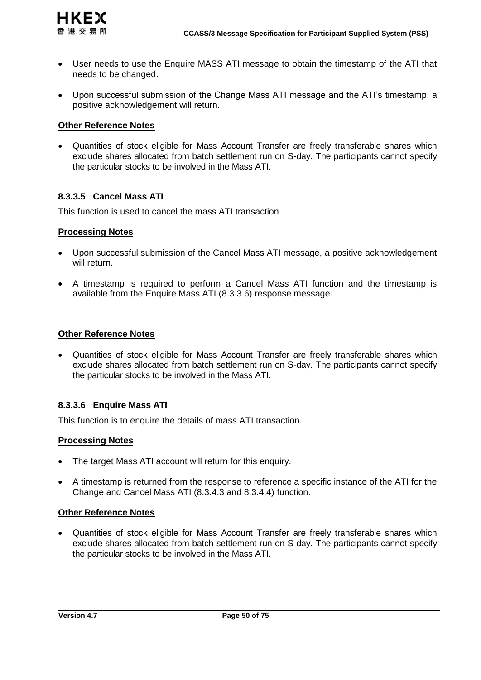- User needs to use the Enquire MASS ATI message to obtain the timestamp of the ATI that needs to be changed.
- Upon successful submission of the Change Mass ATI message and the ATI's timestamp, a positive acknowledgement will return.

 Quantities of stock eligible for Mass Account Transfer are freely transferable shares which exclude shares allocated from batch settlement run on S-day. The participants cannot specify the particular stocks to be involved in the Mass ATI.

# **8.3.3.5 Cancel Mass ATI**

This function is used to cancel the mass ATI transaction

# **Processing Notes**

- Upon successful submission of the Cancel Mass ATI message, a positive acknowledgement will return.
- A timestamp is required to perform a Cancel Mass ATI function and the timestamp is available from the Enquire Mass ATI [\(8.3.3.6\)](#page-49-0) response message.

# **Other Reference Notes**

 Quantities of stock eligible for Mass Account Transfer are freely transferable shares which exclude shares allocated from batch settlement run on S-day. The participants cannot specify the particular stocks to be involved in the Mass ATI.

# <span id="page-49-0"></span>**8.3.3.6 Enquire Mass ATI**

This function is to enquire the details of mass ATI transaction.

# **Processing Notes**

- The target Mass ATI account will return for this enquiry.
- A timestamp is returned from the response to reference a specific instance of the ATI for the Change and Cancel Mass ATI (8.3.4.3 and 8.3.4.4) function.

# **Other Reference Notes**

 Quantities of stock eligible for Mass Account Transfer are freely transferable shares which exclude shares allocated from batch settlement run on S-day. The participants cannot specify the particular stocks to be involved in the Mass ATI.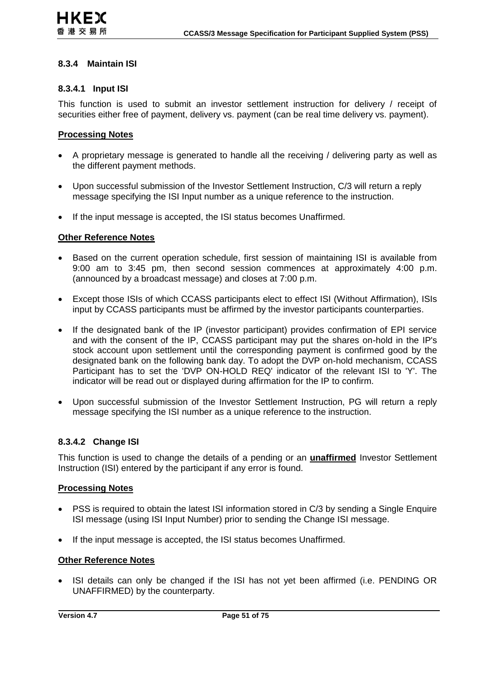# **8.3.4 Maintain ISI**

#### **8.3.4.1 Input ISI**

This function is used to submit an investor settlement instruction for delivery / receipt of securities either free of payment, delivery vs. payment (can be real time delivery vs. payment).

#### **Processing Notes**

- A proprietary message is generated to handle all the receiving / delivering party as well as the different payment methods.
- Upon successful submission of the Investor Settlement Instruction, C/3 will return a reply message specifying the ISI Input number as a unique reference to the instruction.
- If the input message is accepted, the ISI status becomes Unaffirmed.

#### **Other Reference Notes**

- Based on the current operation schedule, first session of maintaining ISI is available from 9:00 am to 3:45 pm, then second session commences at approximately 4:00 p.m. (announced by a broadcast message) and closes at 7:00 p.m.
- Except those ISIs of which CCASS participants elect to effect ISI (Without Affirmation), ISIs input by CCASS participants must be affirmed by the investor participants counterparties.
- If the designated bank of the IP (investor participant) provides confirmation of EPI service and with the consent of the IP, CCASS participant may put the shares on-hold in the IP's stock account upon settlement until the corresponding payment is confirmed good by the designated bank on the following bank day. To adopt the DVP on-hold mechanism, CCASS Participant has to set the 'DVP ON-HOLD REQ' indicator of the relevant ISI to 'Y'. The indicator will be read out or displayed during affirmation for the IP to confirm.
- Upon successful submission of the Investor Settlement Instruction, PG will return a reply message specifying the ISI number as a unique reference to the instruction.

#### **8.3.4.2 Change ISI**

This function is used to change the details of a pending or an **unaffirmed** Investor Settlement Instruction (ISI) entered by the participant if any error is found.

#### **Processing Notes**

- PSS is required to obtain the latest ISI information stored in C/3 by sending a Single Enquire ISI message (using ISI Input Number) prior to sending the Change ISI message.
- If the input message is accepted, the ISI status becomes Unaffirmed.

#### **Other Reference Notes**

• ISI details can only be changed if the ISI has not yet been affirmed (i.e. PENDING OR UNAFFIRMED) by the counterparty.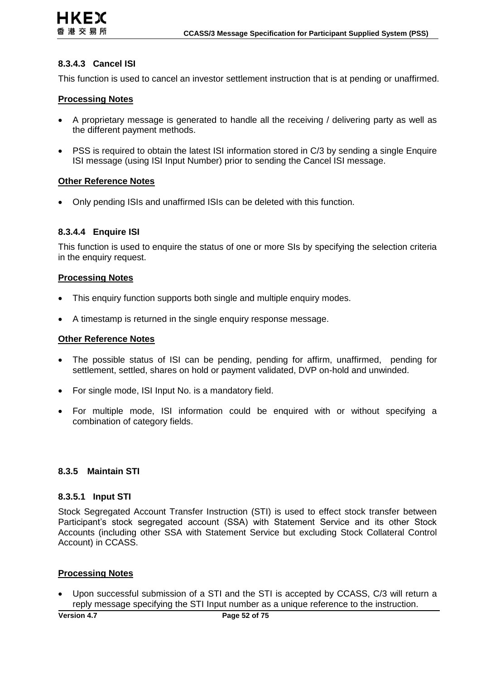### **8.3.4.3 Cancel ISI**

This function is used to cancel an investor settlement instruction that is at pending or unaffirmed.

#### **Processing Notes**

- A proprietary message is generated to handle all the receiving / delivering party as well as the different payment methods.
- PSS is required to obtain the latest ISI information stored in C/3 by sending a single Enquire ISI message (using ISI Input Number) prior to sending the Cancel ISI message.

#### **Other Reference Notes**

Only pending ISIs and unaffirmed ISIs can be deleted with this function.

#### **8.3.4.4 Enquire ISI**

This function is used to enquire the status of one or more SIs by specifying the selection criteria in the enquiry request.

#### **Processing Notes**

- This enquiry function supports both single and multiple enquiry modes.
- A timestamp is returned in the single enquiry response message.

#### **Other Reference Notes**

- The possible status of ISI can be pending, pending for affirm, unaffirmed, pending for settlement, settled, shares on hold or payment validated, DVP on-hold and unwinded.
- For single mode, ISI Input No. is a mandatory field.
- For multiple mode, ISI information could be enquired with or without specifying a combination of category fields.

#### **8.3.5 Maintain STI**

#### **8.3.5.1 Input STI**

Stock Segregated Account Transfer Instruction (STI) is used to effect stock transfer between Participant's stock segregated account (SSA) with Statement Service and its other Stock Accounts (including other SSA with Statement Service but excluding Stock Collateral Control Account) in CCASS.

#### **Processing Notes**

 Upon successful submission of a STI and the STI is accepted by CCASS, C/3 will return a reply message specifying the STI Input number as a unique reference to the instruction.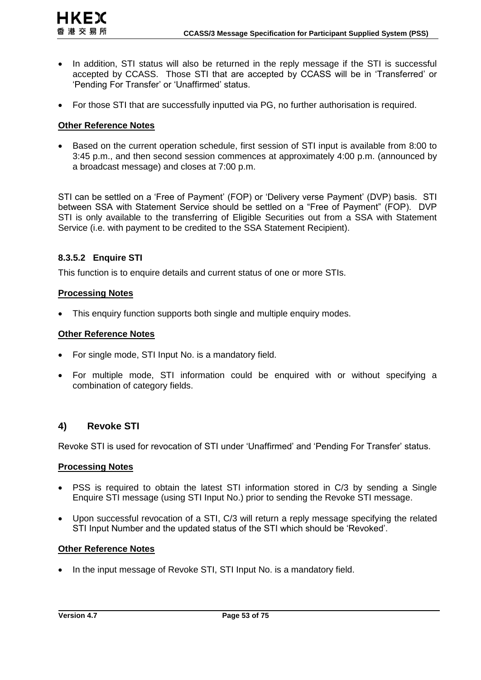- In addition, STI status will also be returned in the reply message if the STI is successful accepted by CCASS. Those STI that are accepted by CCASS will be in 'Transferred' or 'Pending For Transfer' or 'Unaffirmed' status.
- For those STI that are successfully inputted via PG, no further authorisation is required.

**HKEX** 香港交易所

 Based on the current operation schedule, first session of STI input is available from 8:00 to 3:45 p.m., and then second session commences at approximately 4:00 p.m. (announced by a broadcast message) and closes at 7:00 p.m.

STI can be settled on a 'Free of Payment' (FOP) or 'Delivery verse Payment' (DVP) basis. STI between SSA with Statement Service should be settled on a "Free of Payment" (FOP). DVP STI is only available to the transferring of Eligible Securities out from a SSA with Statement Service (i.e. with payment to be credited to the SSA Statement Recipient).

### **8.3.5.2 Enquire STI**

This function is to enquire details and current status of one or more STIs.

#### **Processing Notes**

• This enquiry function supports both single and multiple enquiry modes.

#### **Other Reference Notes**

- For single mode, STI Input No. is a mandatory field.
- For multiple mode, STI information could be enquired with or without specifying a combination of category fields.

# **4) Revoke STI**

Revoke STI is used for revocation of STI under 'Unaffirmed' and 'Pending For Transfer' status.

#### **Processing Notes**

- PSS is required to obtain the latest STI information stored in C/3 by sending a Single Enquire STI message (using STI Input No.) prior to sending the Revoke STI message.
- Upon successful revocation of a STI, C/3 will return a reply message specifying the related STI Input Number and the updated status of the STI which should be 'Revoked'.

#### **Other Reference Notes**

• In the input message of Revoke STI, STI Input No. is a mandatory field.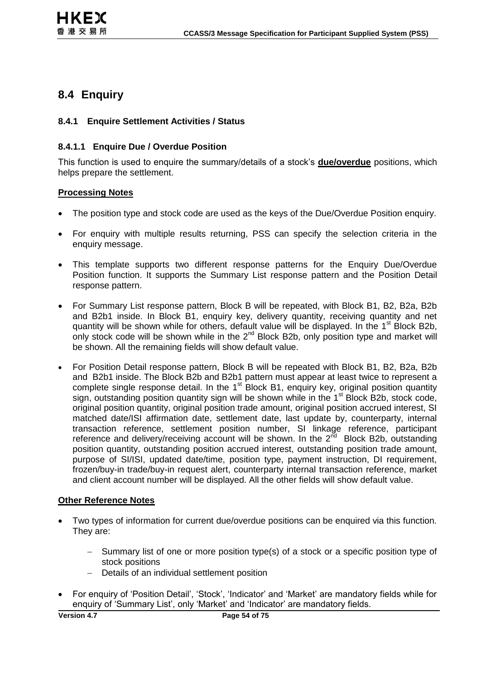# **8.4 Enquiry**

### **8.4.1 Enquire Settlement Activities / Status**

### **8.4.1.1 Enquire Due / Overdue Position**

This function is used to enquire the summary/details of a stock's **due/overdue** positions, which helps prepare the settlement.

#### **Processing Notes**

- The position type and stock code are used as the keys of the Due/Overdue Position enquiry.
- For enquiry with multiple results returning, PSS can specify the selection criteria in the enquiry message.
- This template supports two different response patterns for the Enquiry Due/Overdue Position function. It supports the Summary List response pattern and the Position Detail response pattern.
- For Summary List response pattern, Block B will be repeated, with Block B1, B2, B2a, B2b and B2b1 inside. In Block B1, enquiry key, delivery quantity, receiving quantity and net quantity will be shown while for others, default value will be displayed. In the 1<sup>st</sup> Block B2b, only stock code will be shown while in the  $2<sup>nd</sup>$  Block B2b, only position type and market will be shown. All the remaining fields will show default value.
- For Position Detail response pattern, Block B will be repeated with Block B1, B2, B2a, B2b and B2b1 inside. The Block B2b and B2b1 pattern must appear at least twice to represent a complete single response detail. In the  $1<sup>st</sup>$  Block B1, enquiry key, original position quantity sign, outstanding position quantity sign will be shown while in the  $1<sup>st</sup>$  Block B2b, stock code, original position quantity, original position trade amount, original position accrued interest, SI matched date/ISI affirmation date, settlement date, last update by, counterparty, internal transaction reference, settlement position number, SI linkage reference, participant reference and delivery/receiving account will be shown. In the  $2^{\overline{nd}}$  Block B2b, outstanding position quantity, outstanding position accrued interest, outstanding position trade amount, purpose of SI/ISI, updated date/time, position type, payment instruction, DI requirement, frozen/buy-in trade/buy-in request alert, counterparty internal transaction reference, market and client account number will be displayed. All the other fields will show default value.

#### **Other Reference Notes**

- Two types of information for current due/overdue positions can be enquired via this function. They are:
	- Summary list of one or more position type(s) of a stock or a specific position type of stock positions
	- Details of an individual settlement position
- For enquiry of 'Position Detail', 'Stock', 'Indicator' and 'Market' are mandatory fields while for enquiry of 'Summary List', only 'Market' and 'Indicator' are mandatory fields.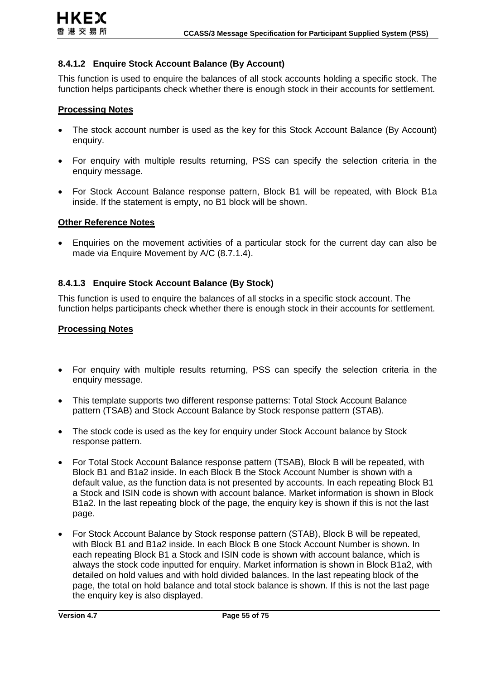### **8.4.1.2 Enquire Stock Account Balance (By Account)**

This function is used to enquire the balances of all stock accounts holding a specific stock. The function helps participants check whether there is enough stock in their accounts for settlement.

#### **Processing Notes**

- The stock account number is used as the key for this Stock Account Balance (By Account) enquiry.
- For enquiry with multiple results returning, PSS can specify the selection criteria in the enquiry message.
- For Stock Account Balance response pattern, Block B1 will be repeated, with Block B1a inside. If the statement is empty, no B1 block will be shown.

#### **Other Reference Notes**

 Enquiries on the movement activities of a particular stock for the current day can also be made via Enquire Movement by A/C (8.7.1.4).

### **8.4.1.3 Enquire Stock Account Balance (By Stock)**

This function is used to enquire the balances of all stocks in a specific stock account. The function helps participants check whether there is enough stock in their accounts for settlement.

- For enquiry with multiple results returning, PSS can specify the selection criteria in the enquiry message.
- This template supports two different response patterns: Total Stock Account Balance pattern (TSAB) and Stock Account Balance by Stock response pattern (STAB).
- The stock code is used as the key for enquiry under Stock Account balance by Stock response pattern.
- For Total Stock Account Balance response pattern (TSAB), Block B will be repeated, with Block B1 and B1a2 inside. In each Block B the Stock Account Number is shown with a default value, as the function data is not presented by accounts. In each repeating Block B1 a Stock and ISIN code is shown with account balance. Market information is shown in Block B1a2. In the last repeating block of the page, the enquiry key is shown if this is not the last page.
- For Stock Account Balance by Stock response pattern (STAB), Block B will be repeated, with Block B1 and B1a2 inside. In each Block B one Stock Account Number is shown. In each repeating Block B1 a Stock and ISIN code is shown with account balance, which is always the stock code inputted for enquiry. Market information is shown in Block B1a2, with detailed on hold values and with hold divided balances. In the last repeating block of the page, the total on hold balance and total stock balance is shown. If this is not the last page the enquiry key is also displayed.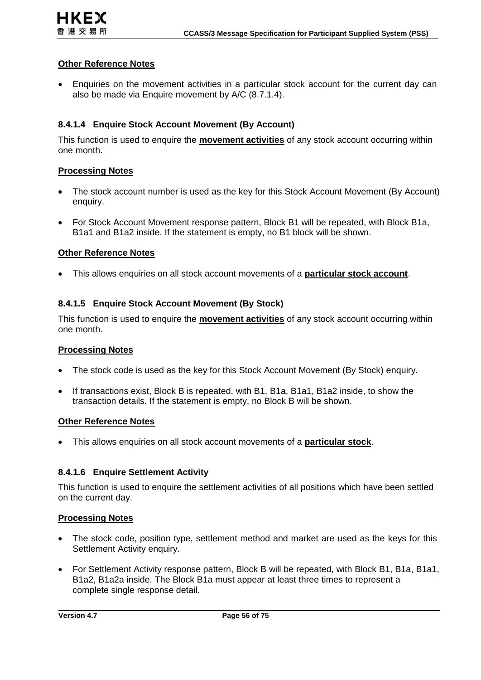Enquiries on the movement activities in a particular stock account for the current day can also be made via Enquire movement by A/C (8.7.1.4).

### **8.4.1.4 Enquire Stock Account Movement (By Account)**

This function is used to enquire the **movement activities** of any stock account occurring within one month.

#### **Processing Notes**

- The stock account number is used as the key for this Stock Account Movement (By Account) enquiry.
- For Stock Account Movement response pattern, Block B1 will be repeated, with Block B1a, B1a1 and B1a2 inside. If the statement is empty, no B1 block will be shown.

#### **Other Reference Notes**

This allows enquiries on all stock account movements of a **particular stock account**.

### **8.4.1.5 Enquire Stock Account Movement (By Stock)**

This function is used to enquire the **movement activities** of any stock account occurring within one month.

#### **Processing Notes**

- The stock code is used as the key for this Stock Account Movement (By Stock) enquiry.
- If transactions exist, Block B is repeated, with B1, B1a, B1a1, B1a2 inside, to show the transaction details. If the statement is empty, no Block B will be shown.

#### **Other Reference Notes**

This allows enquiries on all stock account movements of a **particular stock**.

#### **8.4.1.6 Enquire Settlement Activity**

This function is used to enquire the settlement activities of all positions which have been settled on the current day.

- The stock code, position type, settlement method and market are used as the keys for this Settlement Activity enquiry.
- For Settlement Activity response pattern, Block B will be repeated, with Block B1, B1a, B1a1, B1a2, B1a2a inside. The Block B1a must appear at least three times to represent a complete single response detail.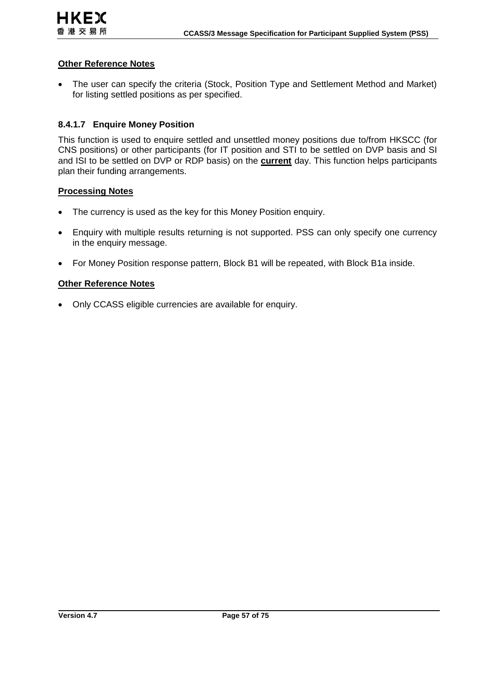• The user can specify the criteria (Stock, Position Type and Settlement Method and Market) for listing settled positions as per specified.

### **8.4.1.7 Enquire Money Position**

This function is used to enquire settled and unsettled money positions due to/from HKSCC (for CNS positions) or other participants (for IT position and STI to be settled on DVP basis and SI and ISI to be settled on DVP or RDP basis) on the **current** day. This function helps participants plan their funding arrangements.

#### **Processing Notes**

- The currency is used as the key for this Money Position enquiry.
- Enquiry with multiple results returning is not supported. PSS can only specify one currency in the enquiry message.
- For Money Position response pattern, Block B1 will be repeated, with Block B1a inside.

#### **Other Reference Notes**

Only CCASS eligible currencies are available for enquiry.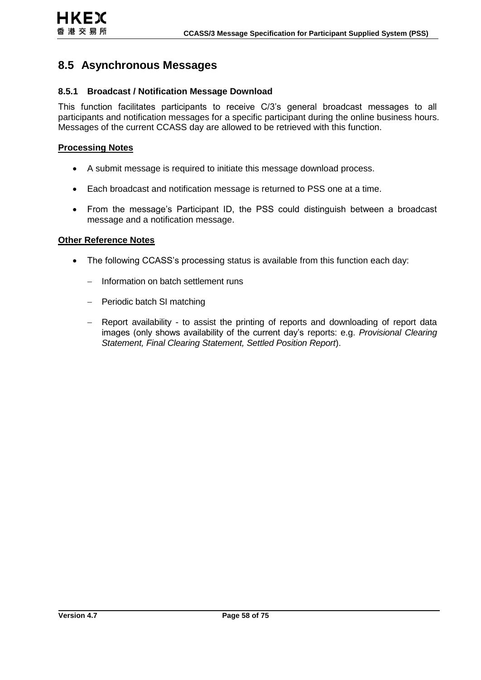# **8.5 Asynchronous Messages**

### **8.5.1 Broadcast / Notification Message Download**

This function facilitates participants to receive C/3's general broadcast messages to all participants and notification messages for a specific participant during the online business hours. Messages of the current CCASS day are allowed to be retrieved with this function.

#### **Processing Notes**

- A submit message is required to initiate this message download process.
- Each broadcast and notification message is returned to PSS one at a time.
- From the message's Participant ID, the PSS could distinguish between a broadcast message and a notification message.

#### **Other Reference Notes**

- The following CCASS's processing status is available from this function each day:
	- Information on batch settlement runs
	- Periodic batch SI matching
	- Report availability to assist the printing of reports and downloading of report data images (only shows availability of the current day's reports: e.g. *Provisional Clearing Statement, Final Clearing Statement, Settled Position Report*).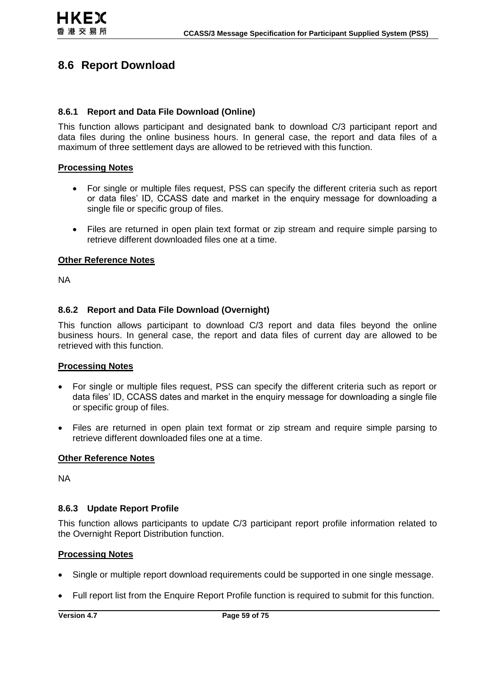# **8.6 Report Download**

#### **8.6.1 Report and Data File Download (Online)**

This function allows participant and designated bank to download C/3 participant report and data files during the online business hours. In general case, the report and data files of a maximum of three settlement days are allowed to be retrieved with this function.

#### **Processing Notes**

- For single or multiple files request, PSS can specify the different criteria such as report or data files' ID, CCASS date and market in the enquiry message for downloading a single file or specific group of files.
- Files are returned in open plain text format or zip stream and require simple parsing to retrieve different downloaded files one at a time.

### **Other Reference Notes**

NA

### **8.6.2 Report and Data File Download (Overnight)**

This function allows participant to download C/3 report and data files beyond the online business hours. In general case, the report and data files of current day are allowed to be retrieved with this function.

#### **Processing Notes**

- For single or multiple files request, PSS can specify the different criteria such as report or data files' ID, CCASS dates and market in the enquiry message for downloading a single file or specific group of files.
- Files are returned in open plain text format or zip stream and require simple parsing to retrieve different downloaded files one at a time.

#### **Other Reference Notes**

NA

#### **8.6.3 Update Report Profile**

This function allows participants to update C/3 participant report profile information related to the Overnight Report Distribution function.

- Single or multiple report download requirements could be supported in one single message.
- Full report list from the Enquire Report Profile function is required to submit for this function.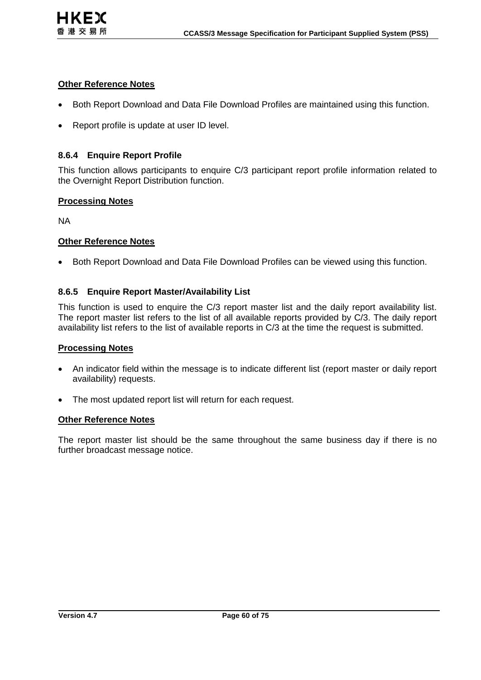

- Both Report Download and Data File Download Profiles are maintained using this function.
- Report profile is update at user ID level.

#### **8.6.4 Enquire Report Profile**

This function allows participants to enquire C/3 participant report profile information related to the Overnight Report Distribution function.

#### **Processing Notes**

NA

#### **Other Reference Notes**

• Both Report Download and Data File Download Profiles can be viewed using this function.

#### **8.6.5 Enquire Report Master/Availability List**

This function is used to enquire the C/3 report master list and the daily report availability list. The report master list refers to the list of all available reports provided by C/3. The daily report availability list refers to the list of available reports in C/3 at the time the request is submitted.

### **Processing Notes**

- An indicator field within the message is to indicate different list (report master or daily report availability) requests.
- The most updated report list will return for each request.

#### **Other Reference Notes**

The report master list should be the same throughout the same business day if there is no further broadcast message notice.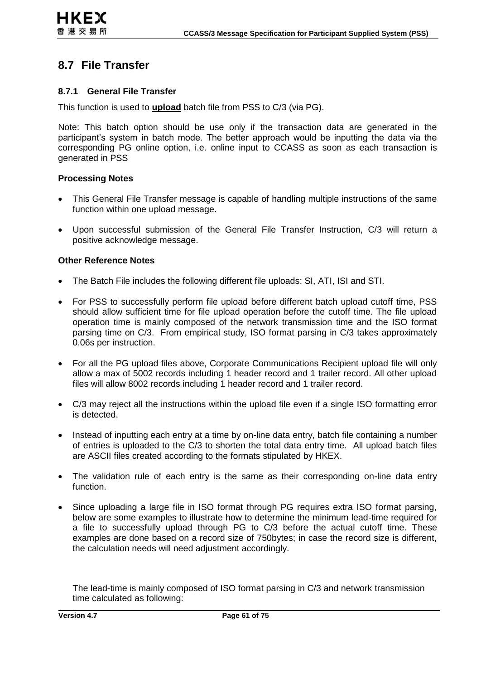# **8.7 File Transfer**

#### **8.7.1 General File Transfer**

This function is used to **upload** batch file from PSS to C/3 (via PG).

Note: This batch option should be use only if the transaction data are generated in the participant's system in batch mode. The better approach would be inputting the data via the corresponding PG online option, i.e. online input to CCASS as soon as each transaction is generated in PSS

#### **Processing Notes**

- This General File Transfer message is capable of handling multiple instructions of the same function within one upload message.
- Upon successful submission of the General File Transfer Instruction, C/3 will return a positive acknowledge message.

#### **Other Reference Notes**

- The Batch File includes the following different file uploads: SI, ATI, ISI and STI.
- For PSS to successfully perform file upload before different batch upload cutoff time, PSS should allow sufficient time for file upload operation before the cutoff time. The file upload operation time is mainly composed of the network transmission time and the ISO format parsing time on C/3. From empirical study, ISO format parsing in C/3 takes approximately 0.06s per instruction.
- For all the PG upload files above, Corporate Communications Recipient upload file will only allow a max of 5002 records including 1 header record and 1 trailer record. All other upload files will allow 8002 records including 1 header record and 1 trailer record.
- C/3 may reject all the instructions within the upload file even if a single ISO formatting error is detected.
- Instead of inputting each entry at a time by on-line data entry, batch file containing a number of entries is uploaded to the C/3 to shorten the total data entry time. All upload batch files are ASCII files created according to the formats stipulated by HKEX.
- The validation rule of each entry is the same as their corresponding on-line data entry function.
- Since uploading a large file in ISO format through PG requires extra ISO format parsing, below are some examples to illustrate how to determine the minimum lead-time required for a file to successfully upload through PG to C/3 before the actual cutoff time. These examples are done based on a record size of 750bytes; in case the record size is different, the calculation needs will need adjustment accordingly.

The lead-time is mainly composed of ISO format parsing in C/3 and network transmission time calculated as following: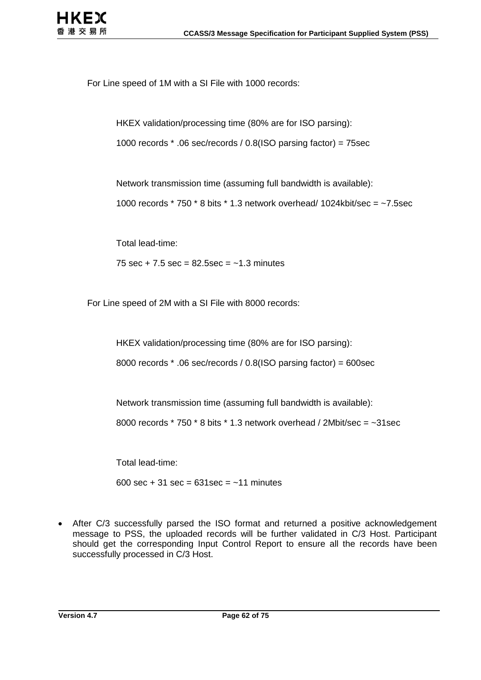For Line speed of 1M with a SI File with 1000 records:

HKEX validation/processing time (80% are for ISO parsing):

1000 records \* .06 sec/records / 0.8(ISO parsing factor) = 75sec

Network transmission time (assuming full bandwidth is available):

1000 records  $*$  750  $*$  8 bits  $*$  1.3 network overhead/ 1024kbit/sec =  $-7.5$ sec

Total lead-time:

75 sec + 7.5 sec =  $82.5$ sec =  $~1.3$  minutes

For Line speed of 2M with a SI File with 8000 records:

HKEX validation/processing time (80% are for ISO parsing):

8000 records \* .06 sec/records / 0.8(ISO parsing factor) = 600sec

Network transmission time (assuming full bandwidth is available):

8000 records  $*$  750  $*$  8 bits  $*$  1.3 network overhead / 2Mbit/sec =  $\sim$ 31sec

Total lead-time:

600 sec + 31 sec =  $631$  sec =  $~11$  minutes

 After C/3 successfully parsed the ISO format and returned a positive acknowledgement message to PSS, the uploaded records will be further validated in C/3 Host. Participant should get the corresponding Input Control Report to ensure all the records have been successfully processed in C/3 Host.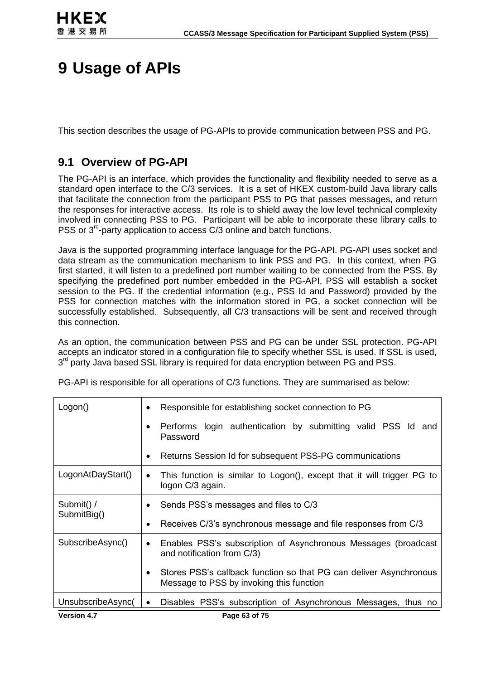# **9 Usage of APIs**

This section describes the usage of PG-APIs to provide communication between PSS and PG.

# **9.1 Overview of PG-API**

The PG-API is an interface, which provides the functionality and flexibility needed to serve as a standard open interface to the C/3 services. It is a set of HKEX custom-build Java library calls that facilitate the connection from the participant PSS to PG that passes messages, and return the responses for interactive access. Its role is to shield away the low level technical complexity involved in connecting PSS to PG. Participant will be able to incorporate these library calls to PSS or 3<sup>rd</sup>-party application to access C/3 online and batch functions.

Java is the supported programming interface language for the PG-API. PG-API uses socket and data stream as the communication mechanism to link PSS and PG. In this context, when PG first started, it will listen to a predefined port number waiting to be connected from the PSS. By specifying the predefined port number embedded in the PG-API, PSS will establish a socket session to the PG. If the credential information (e.g., PSS Id and Password) provided by the PSS for connection matches with the information stored in PG, a socket connection will be successfully established. Subsequently, all C/3 transactions will be sent and received through this connection.

As an option, the communication between PSS and PG can be under SSL protection. PG-API accepts an indicator stored in a configuration file to specify whether SSL is used. If SSL is used, 3<sup>rd</sup> party Java based SSL library is required for data encryption between PG and PSS.

PG-API is responsible for all operations of C/3 functions. They are summarised as below:

| Logon()           | Responsible for establishing socket connection to PG<br>$\bullet$                                                           |  |  |
|-------------------|-----------------------------------------------------------------------------------------------------------------------------|--|--|
|                   | Performs login authentication by submitting valid PSS Id and<br>٠<br>Password                                               |  |  |
|                   | Returns Session Id for subsequent PSS-PG communications<br>$\bullet$                                                        |  |  |
| LogonAtDayStart() | This function is similar to Logon(), except that it will trigger PG to<br>$\bullet$<br>logon C/3 again.                     |  |  |
| Submit() /        | Sends PSS's messages and files to C/3<br>٠                                                                                  |  |  |
| SubmitBig()       | Receives C/3's synchronous message and file responses from C/3                                                              |  |  |
| SubscribeAsync()  | Enables PSS's subscription of Asynchronous Messages (broadcast<br>$\bullet$<br>and notification from C/3)                   |  |  |
|                   | Stores PSS's callback function so that PG can deliver Asynchronous<br>$\bullet$<br>Message to PSS by invoking this function |  |  |
| UnsubscribeAsync( | Disables PSS's subscription of Asynchronous Messages, thus no<br>$\bullet$                                                  |  |  |
| Version 47        | Page 63 of 75                                                                                                               |  |  |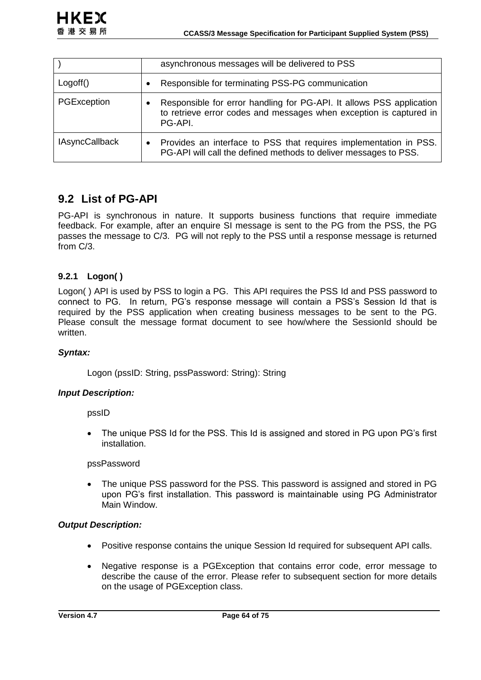|                       | asynchronous messages will be delivered to PSS                                                                                                        |
|-----------------------|-------------------------------------------------------------------------------------------------------------------------------------------------------|
| Logoff()              | Responsible for terminating PSS-PG communication<br>٠                                                                                                 |
| PGException           | Responsible for error handling for PG-API. It allows PSS application<br>to retrieve error codes and messages when exception is captured in<br>PG-API. |
| <b>IAsyncCallback</b> | Provides an interface to PSS that requires implementation in PSS.<br>٠<br>PG-API will call the defined methods to deliver messages to PSS.            |

# **9.2 List of PG-API**

PG-API is synchronous in nature. It supports business functions that require immediate feedback. For example, after an enquire SI message is sent to the PG from the PSS, the PG passes the message to C/3. PG will not reply to the PSS until a response message is returned from C/3.

# **9.2.1 Logon( )**

Logon( ) API is used by PSS to login a PG. This API requires the PSS Id and PSS password to connect to PG. In return, PG's response message will contain a PSS's Session Id that is required by the PSS application when creating business messages to be sent to the PG. Please consult the message format document to see how/where the SessionId should be written.

# *Syntax:*

Logon (pssID: String, pssPassword: String): String

#### *Input Description:*

pssID

 The unique PSS Id for the PSS. This Id is assigned and stored in PG upon PG's first installation.

pssPassword

 The unique PSS password for the PSS. This password is assigned and stored in PG upon PG's first installation. This password is maintainable using PG Administrator Main Window.

#### *Output Description:*

- Positive response contains the unique Session Id required for subsequent API calls.
- Negative response is a PGException that contains error code, error message to describe the cause of the error. Please refer to subsequent section for more details on the usage of PGException class.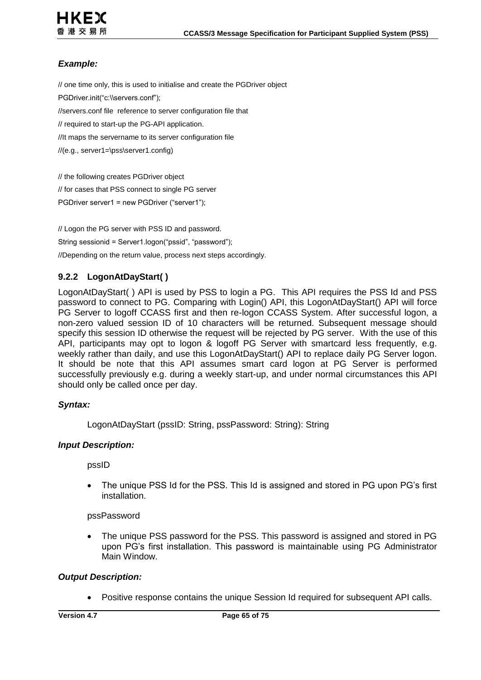

# *Example:*

// one time only, this is used to initialise and create the PGDriver object PGDriver.init("c:\\servers.conf"); //servers.conf file reference to server configuration file that // required to start-up the PG-API application. //It maps the servername to its server configuration file //(e.g., server1=\pss\server1.config)

// the following creates PGDriver object // for cases that PSS connect to single PG server

PGDriver server1 = new PGDriver ("server1");

// Logon the PG server with PSS ID and password. String sessionid = Server1.logon("pssid", "password"); //Depending on the return value, process next steps accordingly.

# **9.2.2 LogonAtDayStart( )**

LogonAtDayStart( ) API is used by PSS to login a PG. This API requires the PSS Id and PSS password to connect to PG. Comparing with Login() API, this LogonAtDayStart() API will force PG Server to logoff CCASS first and then re-logon CCASS System. After successful logon, a non-zero valued session ID of 10 characters will be returned. Subsequent message should specify this session ID otherwise the request will be rejected by PG server. With the use of this API, participants may opt to logon & logoff PG Server with smartcard less frequently, e.g. weekly rather than daily, and use this LogonAtDayStart() API to replace daily PG Server logon. It should be note that this API assumes smart card logon at PG Server is performed successfully previously e.g. during a weekly start-up, and under normal circumstances this API should only be called once per day.

#### *Syntax:*

LogonAtDayStart (pssID: String, pssPassword: String): String

#### *Input Description:*

pssID

 The unique PSS Id for the PSS. This Id is assigned and stored in PG upon PG's first installation.

pssPassword

 The unique PSS password for the PSS. This password is assigned and stored in PG upon PG's first installation. This password is maintainable using PG Administrator Main Window.

#### *Output Description:*

Positive response contains the unique Session Id required for subsequent API calls.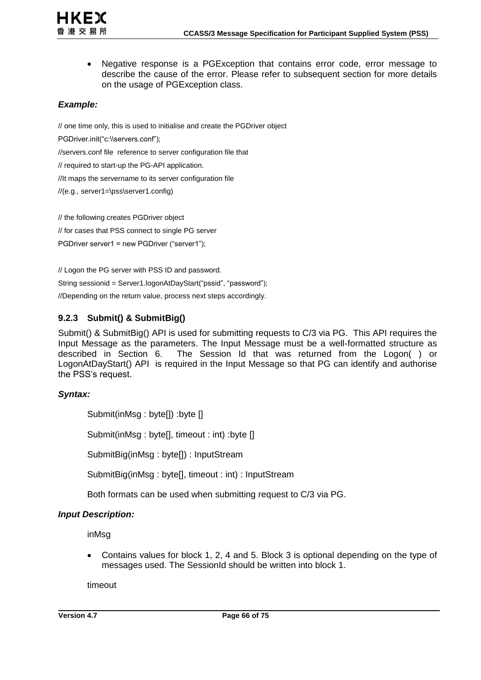

 Negative response is a PGException that contains error code, error message to describe the cause of the error. Please refer to subsequent section for more details on the usage of PGException class.

# *Example:*

// one time only, this is used to initialise and create the PGDriver object

PGDriver.init("c:\\servers.conf");

//servers.conf file reference to server configuration file that

// required to start-up the PG-API application.

//It maps the servername to its server configuration file

//(e.g., server1=\pss\server1.config)

// the following creates PGDriver object

// for cases that PSS connect to single PG server

PGDriver server1 = new PGDriver ("server1");

// Logon the PG server with PSS ID and password.

String sessionid = Server1.logonAtDayStart("pssid", "password");

//Depending on the return value, process next steps accordingly.

# **9.2.3 Submit() & SubmitBig()**

Submit() & SubmitBig() API is used for submitting requests to C/3 via PG. This API requires the Input Message as the parameters. The Input Message must be a well-formatted structure as described in Section [6.](#page-27-0) The Session Id that was returned from the Logon( ) or LogonAtDayStart() API is required in the Input Message so that PG can identify and authorise the PSS's request.

# *Syntax:*

Submit(inMsg : byte[]) :byte [] Submit(inMsg : byte[], timeout : int) :byte [] SubmitBig(inMsg : byte[]) : InputStream SubmitBig(inMsg : byte[], timeout : int) : InputStream

Both formats can be used when submitting request to C/3 via PG.

# *Input Description:*

inMsg

 Contains values for block 1, 2, 4 and 5. Block 3 is optional depending on the type of messages used. The SessionId should be written into block 1.

timeout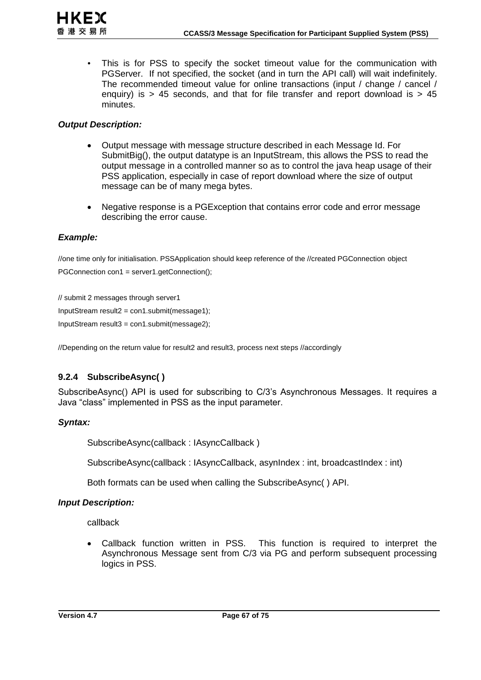This is for PSS to specify the socket timeout value for the communication with PGServer. If not specified, the socket (and in turn the API call) will wait indefinitely. The recommended timeout value for online transactions (input / change / cancel / enquiry) is  $> 45$  seconds, and that for file transfer and report download is  $> 45$ minutes.

#### *Output Description:*

- Output message with message structure described in each Message Id. For SubmitBig(), the output datatype is an InputStream, this allows the PSS to read the output message in a controlled manner so as to control the java heap usage of their PSS application, especially in case of report download where the size of output message can be of many mega bytes.
- Negative response is a PGException that contains error code and error message describing the error cause.

#### *Example:*

//one time only for initialisation. PSSApplication should keep reference of the //created PGConnection object PGConnection con1 = server1.getConnection();

// submit 2 messages through server1 InputStream result2 = con1.submit(message1); InputStream result3 = con1.submit(message2);

//Depending on the return value for result2 and result3, process next steps //accordingly

# **9.2.4 SubscribeAsync( )**

SubscribeAsync() API is used for subscribing to C/3's Asynchronous Messages. It requires a Java "class" implemented in PSS as the input parameter.

#### *Syntax:*

SubscribeAsync(callback : IAsyncCallback )

SubscribeAsync(callback : IAsyncCallback, asynIndex : int, broadcastIndex : int)

Both formats can be used when calling the SubscribeAsync( ) API.

#### *Input Description:*

callback

 Callback function written in PSS. This function is required to interpret the Asynchronous Message sent from C/3 via PG and perform subsequent processing logics in PSS.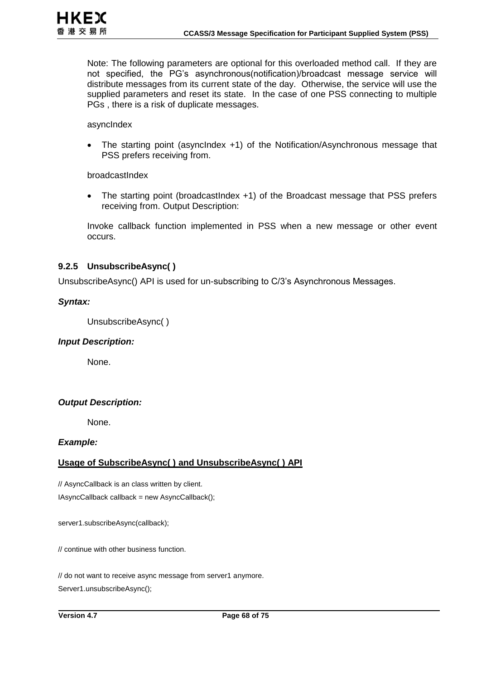Note: The following parameters are optional for this overloaded method call. If they are not specified, the PG's asynchronous(notification)/broadcast message service will distribute messages from its current state of the day. Otherwise, the service will use the supplied parameters and reset its state. In the case of one PSS connecting to multiple PGs , there is a risk of duplicate messages.

asyncIndex

 The starting point (asyncIndex +1) of the Notification/Asynchronous message that PSS prefers receiving from.

broadcastIndex

 The starting point (broadcastIndex +1) of the Broadcast message that PSS prefers receiving from. Output Description:

Invoke callback function implemented in PSS when a new message or other event occurs.

#### **9.2.5 UnsubscribeAsync( )**

UnsubscribeAsync() API is used for un-subscribing to C/3's Asynchronous Messages.

#### *Syntax:*

UnsubscribeAsync( )

#### *Input Description:*

None.

#### *Output Description:*

None.

#### *Example:*

#### **Usage of SubscribeAsync( ) and UnsubscribeAsync( ) API**

// AsyncCallback is an class written by client. IAsyncCallback callback = new AsyncCallback();

server1.subscribeAsync(callback);

// continue with other business function.

// do not want to receive async message from server1 anymore. Server1.unsubscribeAsync();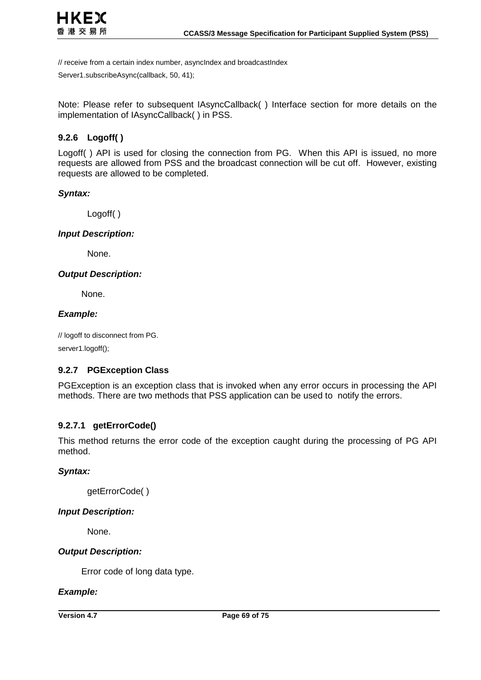

// receive from a certain index number, asyncIndex and broadcastIndex

Server1.subscribeAsync(callback, 50, 41);

Note: Please refer to subsequent IAsyncCallback( ) Interface section for more details on the implementation of IAsyncCallback( ) in PSS.

### **9.2.6 Logoff( )**

Logoff( ) API is used for closing the connection from PG. When this API is issued, no more requests are allowed from PSS and the broadcast connection will be cut off. However, existing requests are allowed to be completed.

#### *Syntax:*

Logoff( )

#### *Input Description:*

None.

#### *Output Description:*

None.

#### *Example:*

// logoff to disconnect from PG. server1.logoff();

#### **9.2.7 PGException Class**

PGException is an exception class that is invoked when any error occurs in processing the API methods. There are two methods that PSS application can be used to notify the errors.

#### **9.2.7.1 getErrorCode()**

This method returns the error code of the exception caught during the processing of PG API method.

#### *Syntax:*

getErrorCode( )

#### *Input Description:*

None.

#### *Output Description:*

Error code of long data type.

#### *Example:*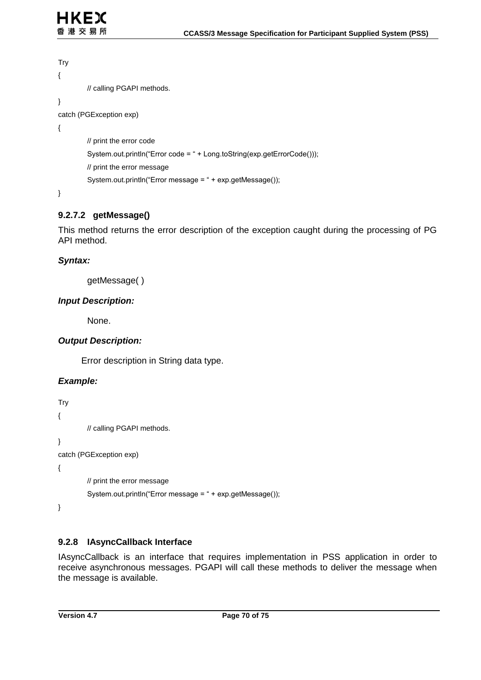```
Try
{
         // calling PGAPI methods.
} 
catch (PGException exp)
{
         // print the error code
         System.out.println("Error code = " + Long.toString(exp.getErrorCode()));
         // print the error message
         System.out.println("Error message = " + exp.getMessage());
}
```
# **9.2.7.2 getMessage()**

This method returns the error description of the exception caught during the processing of PG API method.

### *Syntax:*

getMessage( )

### *Input Description:*

None.

#### *Output Description:*

Error description in String data type.

# *Example:*

```
Try
{
         // calling PGAPI methods.
} 
catch (PGException exp)
{
         // print the error message
         System.out.println("Error message = " + exp.getMessage());
}
```
# **9.2.8 IAsyncCallback Interface**

IAsyncCallback is an interface that requires implementation in PSS application in order to receive asynchronous messages. PGAPI will call these methods to deliver the message when the message is available.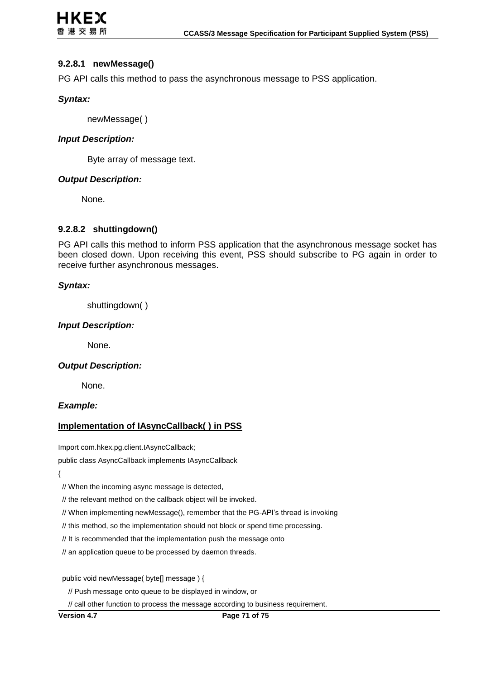#### **9.2.8.1 newMessage()**

PG API calls this method to pass the asynchronous message to PSS application.

#### *Syntax:*

newMessage( )

#### *Input Description:*

Byte array of message text.

### *Output Description:*

None.

### **9.2.8.2 shuttingdown()**

PG API calls this method to inform PSS application that the asynchronous message socket has been closed down. Upon receiving this event, PSS should subscribe to PG again in order to receive further asynchronous messages.

#### *Syntax:*

shuttingdown( )

#### *Input Description:*

None.

#### *Output Description:*

None.

#### *Example:*

#### **Implementation of IAsyncCallback( ) in PSS**

Import com.hkex.pg.client.IAsyncCallback;

public class AsyncCallback implements IAsyncCallback

{

// When the incoming async message is detected,

// the relevant method on the callback object will be invoked.

// When implementing newMessage(), remember that the PG-API's thread is invoking

// this method, so the implementation should not block or spend time processing.

// It is recommended that the implementation push the message onto

// an application queue to be processed by daemon threads.

public void newMessage( byte[] message ) {

// Push message onto queue to be displayed in window, or

// call other function to process the message according to business requirement.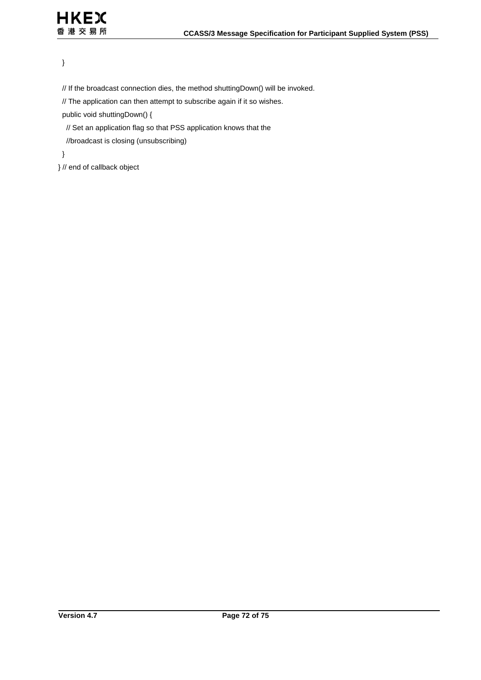# }

// If the broadcast connection dies, the method shuttingDown() will be invoked.

// The application can then attempt to subscribe again if it so wishes.

public void shuttingDown() {

// Set an application flag so that PSS application knows that the

//broadcast is closing (unsubscribing)

}

} // end of callback object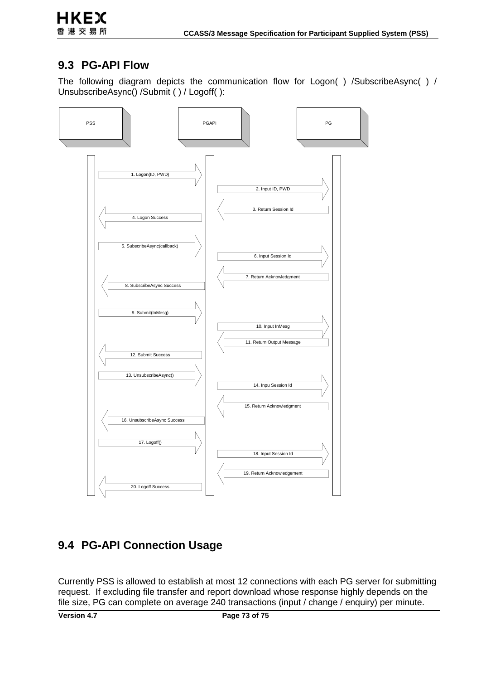## **9.3 PG-API Flow**

The following diagram depicts the communication flow for Logon() /SubscribeAsync() / UnsubscribeAsync() /Submit ( ) / Logoff( ):



## **9.4 PG-API Connection Usage**

Currently PSS is allowed to establish at most 12 connections with each PG server for submitting request. If excluding file transfer and report download whose response highly depends on the file size, PG can complete on average 240 transactions (input / change / enquiry) per minute.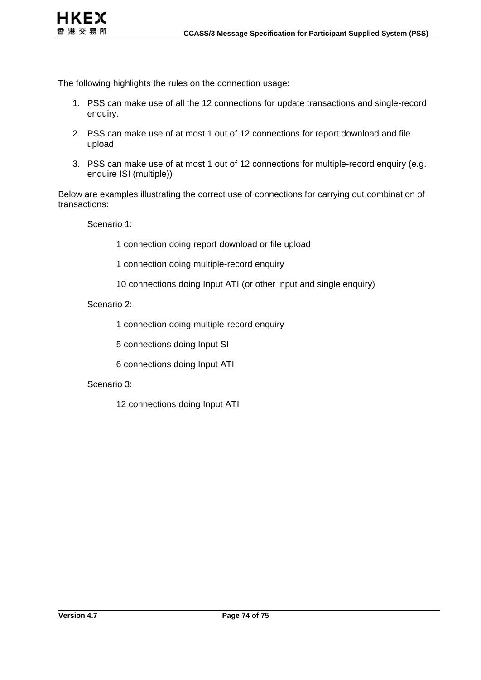

The following highlights the rules on the connection usage:

- 1. PSS can make use of all the 12 connections for update transactions and single-record enquiry.
- 2. PSS can make use of at most 1 out of 12 connections for report download and file upload.
- 3. PSS can make use of at most 1 out of 12 connections for multiple-record enquiry (e.g. enquire ISI (multiple))

Below are examples illustrating the correct use of connections for carrying out combination of transactions:

Scenario 1:

1 connection doing report download or file upload

1 connection doing multiple-record enquiry

10 connections doing Input ATI (or other input and single enquiry)

Scenario 2:

1 connection doing multiple-record enquiry

5 connections doing Input SI

6 connections doing Input ATI

#### Scenario 3:

12 connections doing Input ATI